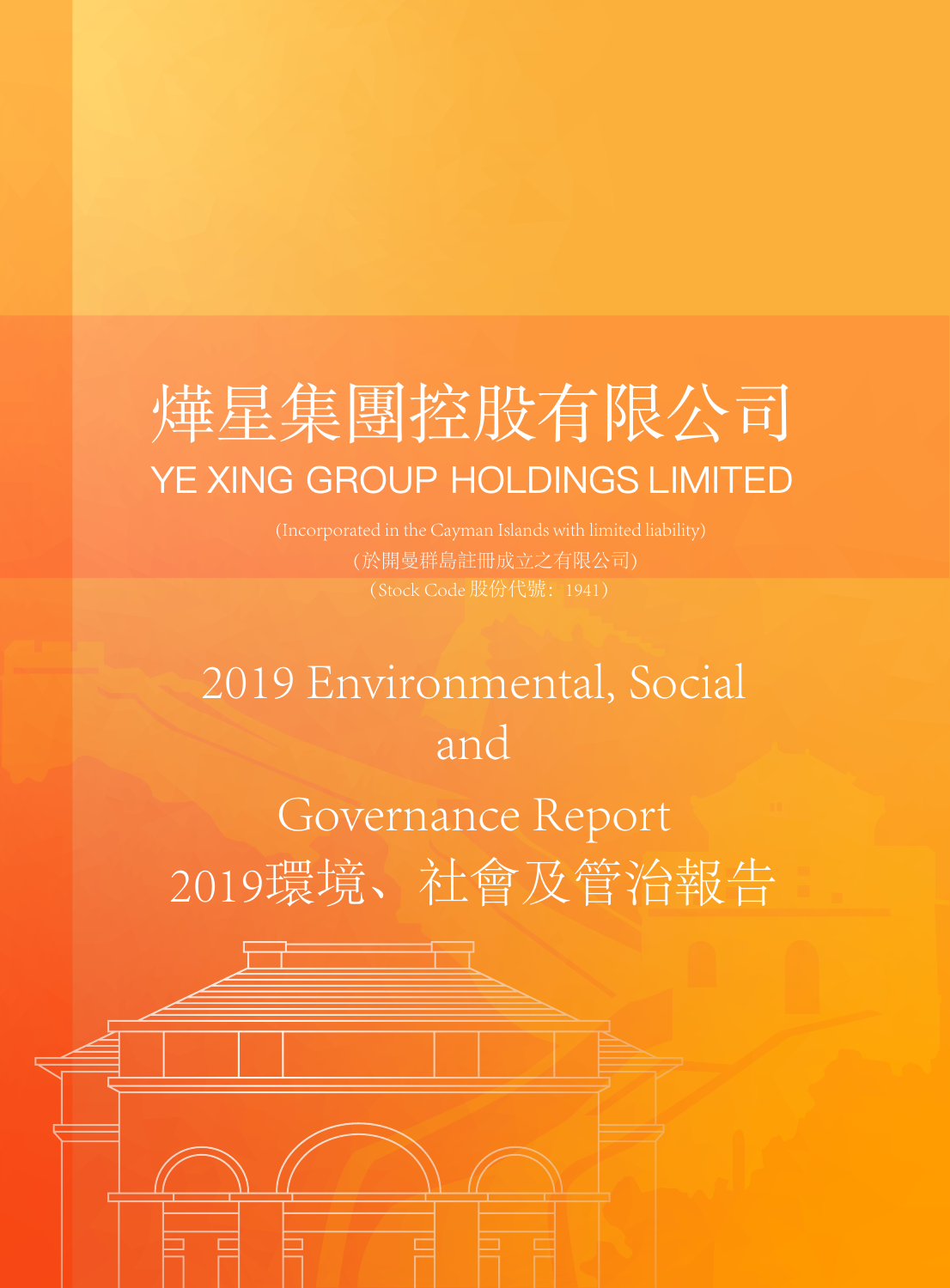# 烨星集团控股有限公司 YE XING GROUP HOLDINGS LIMITED

(於開曼群島註冊成立之有限公司)

# 2019 Environmental, Social and

Governance Report 2019環境、社會及管治報告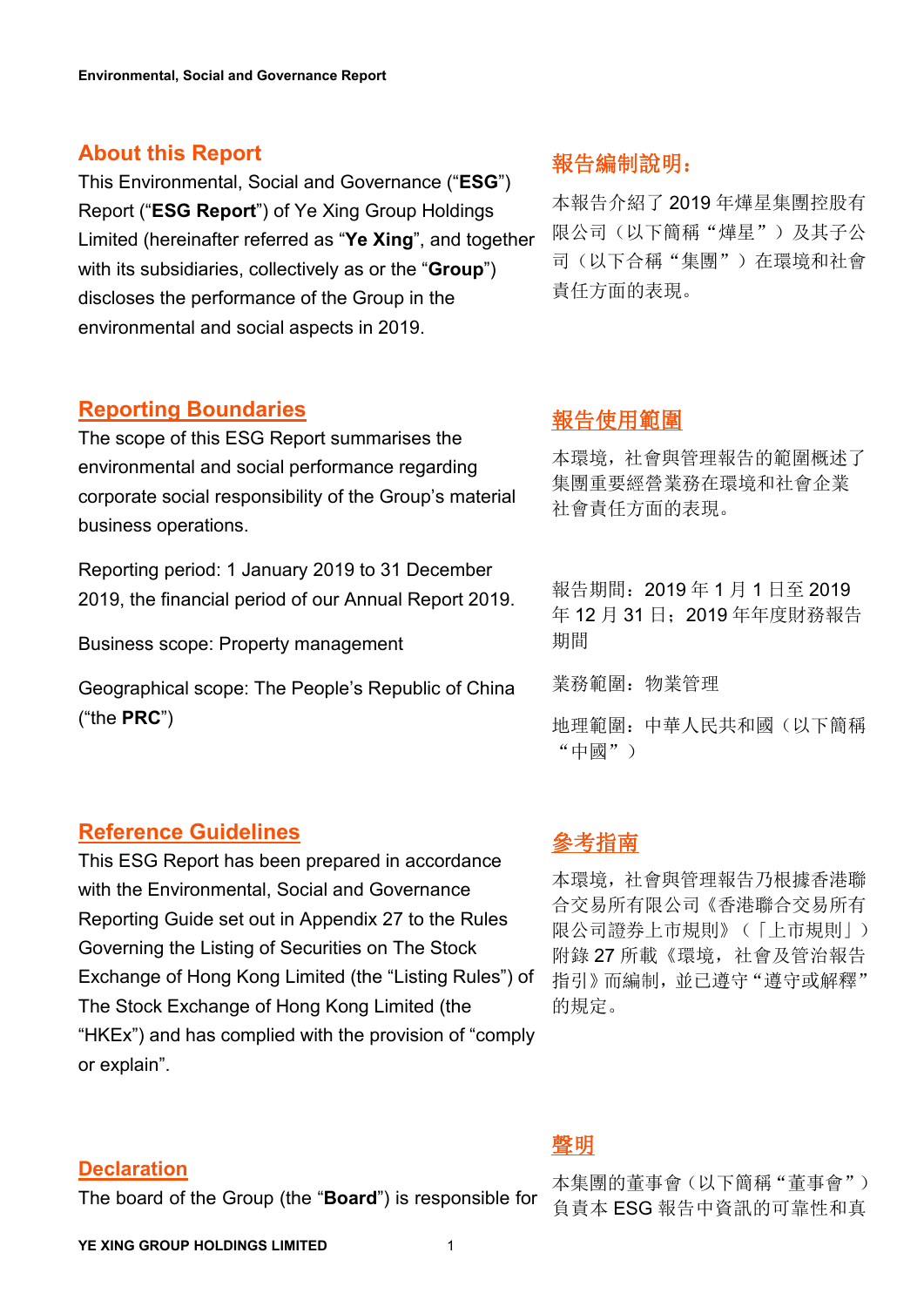# **About this Report**

This Environmental, Social and Governance ("**ESG**") Report ("**ESG Report**") of Ye Xing Group Holdings Limited (hereinafter referred as "**Ye Xing**", and together with its subsidiaries, collectively as or the "**Group**") discloses the performance of the Group in the **About trifs Report**<br>
This Environmental, Social and Governance ("**ESG")**<br>
Report ("**ESG Report**") of Ye Xing Group Holdings  $\begin{array}{c} \frac{1}{4} \pm \frac{1}{4} \pm \frac{1}{4} \pm \frac{1}{4} \pm \frac{1}{4} \pm \frac{1}{4} \pm \frac{1}{4} \pm \frac{1}{4} \pm \frac{1}{4} \pm \frac{1}{4}$ 

# **Reporting Boundaries**

The scope of this ESG Report summarises the environmental and social performance regarding corporate social responsibility of the Group's material business operations.

Reporting period: 1 January 2019 to 31 December 2019, the financial period of our Annual Report 2019.

Business scope: Property management

Geographical scope: The People's Republic of China ("the **PRC**")

# **Reference Guidelines**

This ESG Report has been prepared in accordance with the Environmental, Social and Governance Reporting Guide set out in Appendix 27 to the Rules Governing the Listing of Securities on The Stock Exchange of Hong Kong Limited (the "Listing Rules") of The Stock Exchange of Hong Kong Limited (the "HKEx") and has complied with the provision of "comply or explain".

# **Declaration**

The board of the Group (the "**Board**") is responsible for

本報告介紹了 2019 年燁星集團控股有 限公司(以下簡稱"燁星")及其子公 司(以下合稱"集團")在環境和社會 責任方面的表現。

# 報告使用範圍

本環境,社會與管理報告的範圍概述了 集團重要經營業務在環境和社會企業 社會責任方面的表現。

報告期間:2019 年 1 月 1 日至 2019 年 12 月 31 日;2019年年度財務報告 |期間||アメリカのサイト||アメリカのサイト|

業務範圍:物業管理

地理範圍:中華人民共和國(以下簡稱 "中國")

# 參考指南

本環境,社會與管理報告乃根據香港聯 合交易所有限公司《香港聯合交易所有 限公司證券上市規則》(「上市規則」) 附錄 27 所載《環境,社會及管治報告 指引》而編制,並已遵守"遵守或解釋" 的規定。

# **聲明 あんしゃ あんしゃ かいしん かいしん**

本集團的董事會(以下簡稱"董事會") 負責本 ESG 報告中資訊的可靠性和真

**YE XING GROUP HOLDINGS LIMITED** 1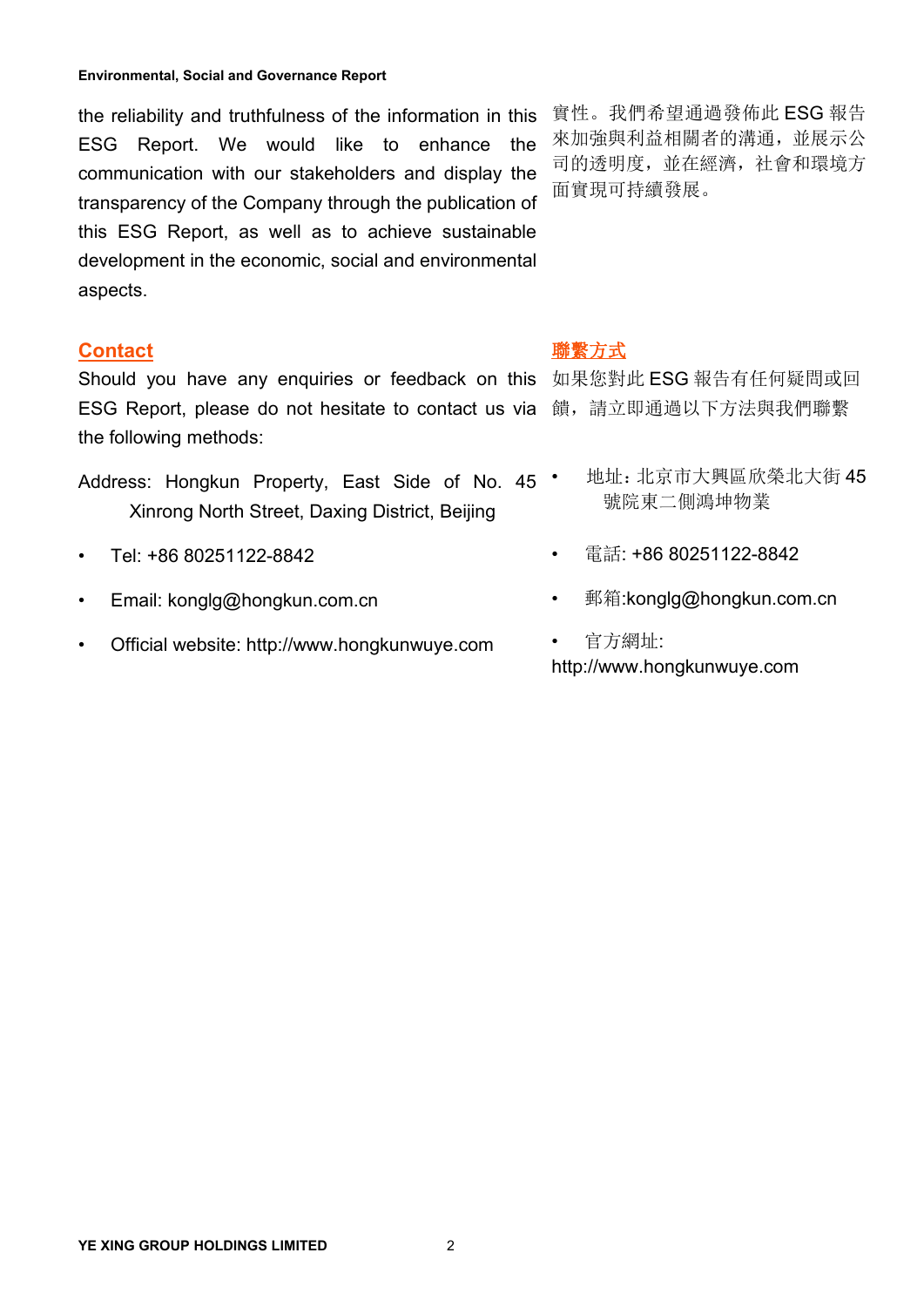the reliability and truthfulness of the information in this 實性。我們希望通過發佈此 ESG 報告 ESG Report. We would like to enhance the communication with our stakeholders and display the transparency of the Company through the publication of this ESG Report, as well as to achieve sustainable development in the economic, social and environmental the reliability and truthfulness of the information in this 實性。我們希望通過發佈此 ESG 報告<br>ESG Report. We would like to enhance the 來加強與利益相關者的溝通,並展示公<br>communication with our stakeholders and display the 司的透明度,並在經濟,社會和環境方<br>transparency

## **Contact**

Should you have any enquiries or feedback on this 如果您對此 ESG 報告有任何疑問或回 ESG Report, please do not hesitate to contact us via 饋,請立即通過以下方法與我們聯繫 the following methods:

- Address: Hongkun Property, East Side of No. 45 \* Xinrong North Street, Daxing District, Beijing
- Tel: +86 80251122-8842
- Email: [konglg@hongkun.com.cn](mailto:konglg@hongkun.com.cn)
- Official website: http://www.hongkunwuye.com

來加強與利益相關者的溝通,並展示公 司的透明度,並在經濟,社會和環境方 面實現可持續發展。

## 聯繫方式

- 地址:北京市大興區欣榮北大街 45 號院東二側鴻坤物業
- 電話: +86 80251122-8842
- 郵箱:[konglg@hongkun.com.cn](mailto:konglg@hongkun.com.cn)

• 官方網址: http://www.hongkunwuye.com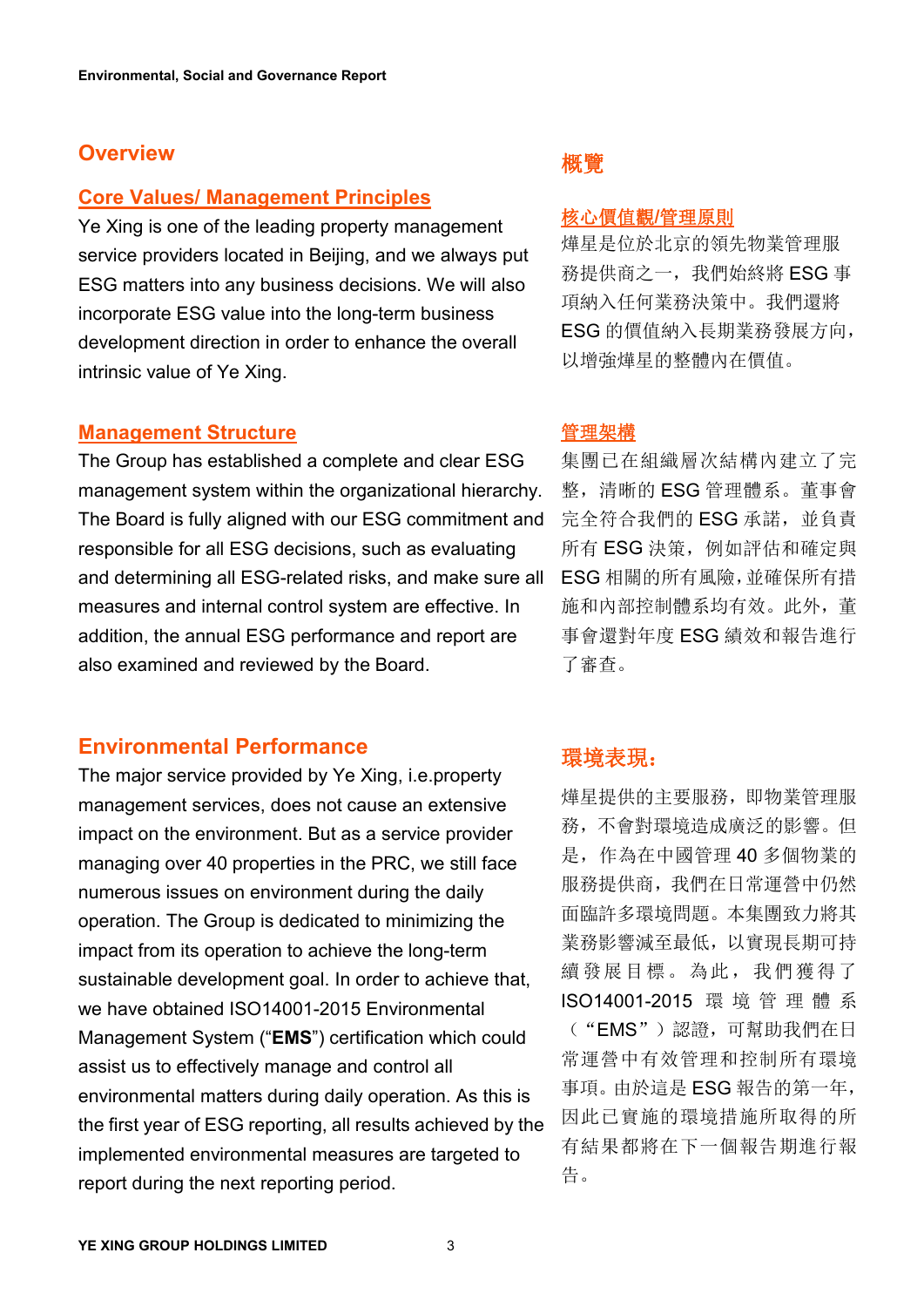# **Overview**

# **Core Values/ Management Principles**

Ye Xing is one of the leading property management service providers located in Beijing, and we always put ESG matters into any business decisions. We will also incorporate ESG value into the long-term business development direction in order to enhance the overall **Core Values/ Management Principles**<br>
Ye Xing is one of the leading property management<br>
service providers located in Beijing, and we always put<br>
ESG matters into any business decisions. We will also<br>
incorporate ESG valu

#### **Management Structure**

The Group has established a complete and clear ESG management system within the organizational hierarchy. The Board is fully aligned with our ESG commitment and responsible for all ESG decisions, such as evaluating and determining all ESG-related risks, and make sure all measures and internal control system are effective. In addition, the annual ESG performance and report are also examined and reviewed by the Board.

# **Environmental Performance**

The major service provided by Ye Xing, i.e.property management services, does not cause an extensive impact on the environment. But as a service provider managing over 40 properties in the PRC, we still face numerous issues on environment during the daily operation. The Group is dedicated to minimizing the impact from its operation to achieve the long-term sustainable development goal. In order to achieve that, we have obtained ISO14001-2015 Environmental Management System ("**EMS**") certification which could assist us to effectively manage and control all environmental matters during daily operation. As this is the first year of ESG reporting, all results achieved by the implemented environmental measures are targeted to report during the next reporting period.

## 核心價值觀**/**管理原則

燁星是位於北京的領先物業管理服 務提供商之一,我們始終將 ESG 事 項納入任何業務決策中。我們還將 ESG 的價值納入長期業務發展方向, 以增強燁星的整體內在價值。

#### 管理架構

集團已在組織層次結構內建立了完 整,清晰的 ESG 管理體系。董事會 完全符合我們的 ESG 承諾, 並負責 所有 ESG 決策, 例如評估和確定與 ESG 相關的所有風險,並確保所有措 施和內部控制體系均有效。此外,董 事會還對年度 ESG 績效和報告進行 了審查。

# 環境表現:

燁星提供的主要服務,即物業管理服 務,不會對環境造成廣泛的影響。但 是,作為在中國管理 40 多個物業的 服務提供商,我們在日常運營中仍然 面臨許多環境問題。本集團致力將其 業務影響減至最低,以實現長期可持 續發展目標。為此,我們獲得了 ISO14001-2015 環 境 管 理 體 系 ("EMS")認證,可幫助我們在日 常運營中有效管理和控制所有環境 事項。由於這是 ESG 報告的第一年, 因此已實施的環境措施所取得的所 有結果都將在下一個報告期進行報 告。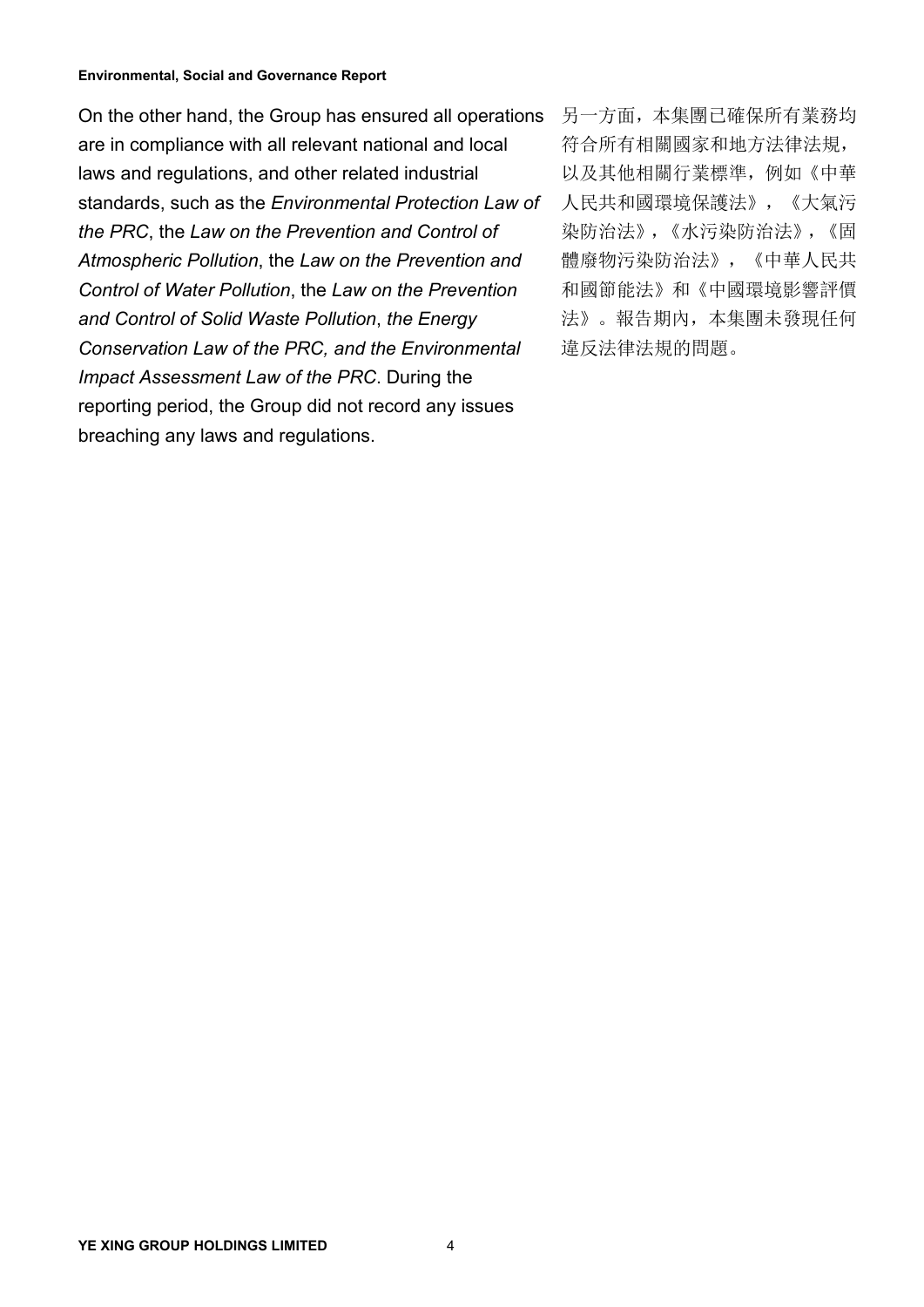On the other hand, the Group has ensured all operations are in compliance with all relevant national and local laws and regulations, and other related industrial standards, such as the *Environmental Protection Law of the PRC*, the *Law on the Prevention and Control of Atmospheric Pollution*, the *Law on the Prevention and Control of Water Pollution*, the *Law on the Prevention and Control of Solid Waste Pollution*, *the Energy Conservation Law of the PRC, and the Environmental Impact Assessment Law of the PRC*. During the reporting period, the Group did not record any issues breaching any laws and regulations.

另一方面,本集團已確保所有業務均 符合所有相關國家和地方法律法規, 以及其他相關行業標準,例如《中華 人民共和國環境保護法》,《大氣污 染防治法》,《水污染防治法》,《固 體廢物污染防治法》,《中華人民共 和國節能法》和《中國環境影響評價 法》。報告期內,本集團未發現任何 違反法律法規的問題。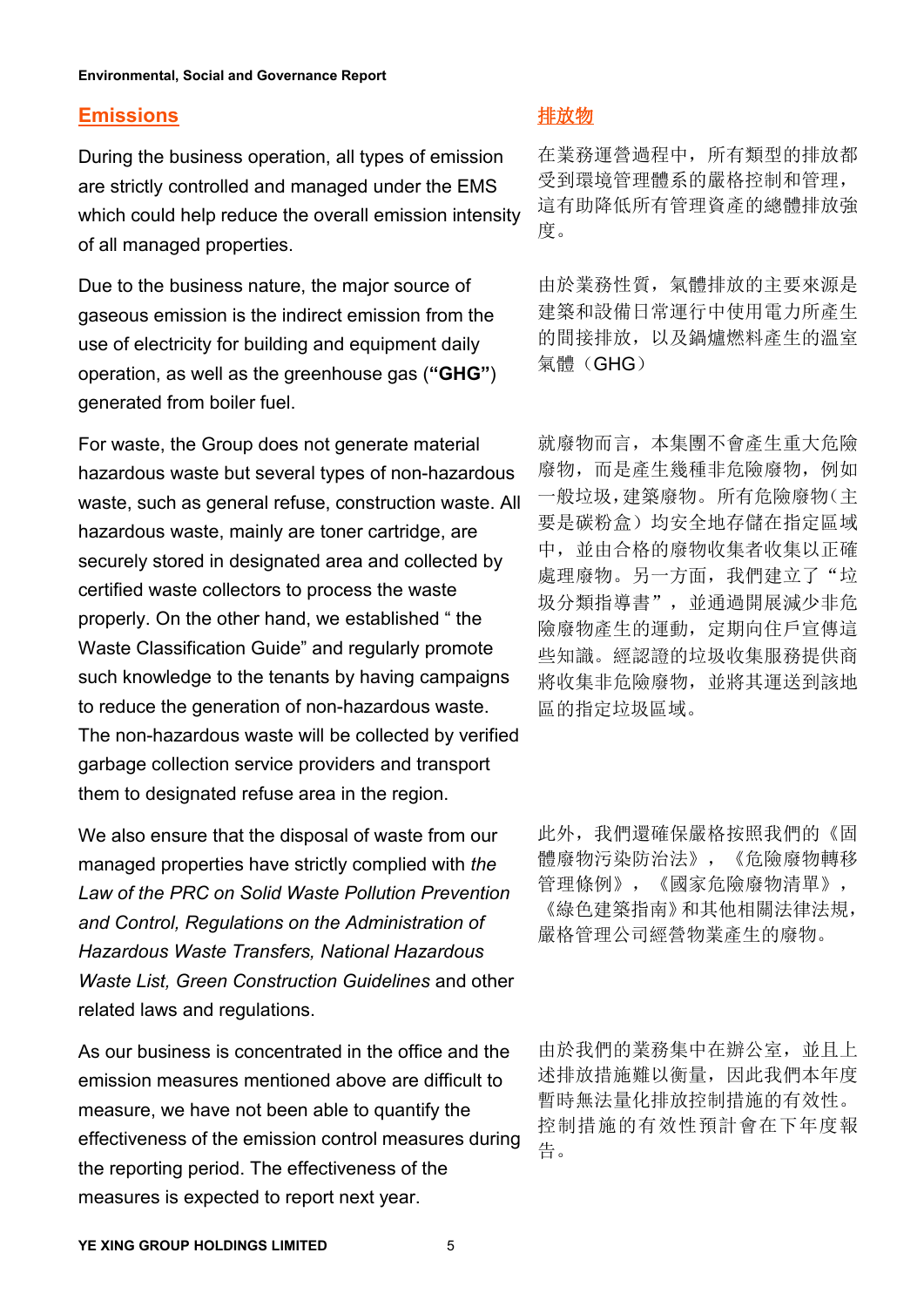## **Emissions**

During the business operation, all types of emission are strictly controlled and managed under the EMS which could help reduce the overall emission intensity  $\frac{\sqrt{d}}{d\vec{y}}$ **Emissions**<br>During the business operation, all types of emission 在業務運營過程中,所有類型的排放都<br>are strictly controlled and managed under the EMS 受到環境管理體系的嚴格控制和管理,<br>which could help reduce the overall emission intensity 這有助降低所有管理資產的

Due to the business nature, the major source of gaseous emission is the indirect emission from the use of electricity for building and equipment daily operation, as well as the greenhouse gas (**"GHG"**) Due to the business nature, the major source of 由於業務性質,氣體排放的主要來源是<br>gaseous emission is the indirect emission from the 建築和設備日常運行中使用電力所產生<br>use of electricity for building and equipment daily 的間接排放,以及鍋爐燃料產生的溫室<br>operatio

For waste, the Group does not generate material hazardous waste but several types of non-hazardous waste, such as general refuse, construction waste. All hazardous waste, mainly are toner cartridge, are securely stored in designated area and collected by certified waste collectors to process the waste properly. On the other hand, we established " the Waste Classification Guide" and regularly promote such knowledge to the tenants by having campaigns to reduce the generation of non-hazardous waste. The non-hazardous waste will be collected by verified garbage collection service providers and transport them to designated refuse area in the region.

We also ensure that the disposal of waste from our 此外,我們還確保嚴格按照我們的《固 managed properties have strictly complied with *the Law of the PRC on Solid Waste Pollution Prevention and Control, Regulations on the Administration of Hazardous Waste Transfers, National Hazardous Waste List, Green Construction Guidelines* and other We also ensure that the disposal of waste from our  $\mu$ 此外,我們還確保嚴格按照我們的《固<br>managed properties have strictly complied with *the*  $\theta$ <br>*Law of the PRC on Solid Waste Pollution Prevention*  $\frac{\dfrac{2\pi}{3}}{\dfrac{2\pi}{3}}$ , 《國家危險廢物清單》,

As our business is concentrated in the office and the <br>
中於我們的業務集中在辦公室, 並且上 emission measures mentioned above are difficult to measure, we have not been able to quantify the effectiveness of the emission control measures during the reporting period. The effectiveness of the As our business is concentrated in the office and the 由於我們的業務集中在辦公室,並且上<br>emission measures mentioned above are difficult to <br>measure, we have not been able to quantify the <sup>暫時無法量化排放控制措施的有效性。<br>effectiveness of the emission c</sup>

在業務運營過程中,所有類型的排放都 受到環境管理體系的嚴格控制和管理, 這有助降低所有管理資產的總體排放強 度。

建築和設備日常運行中使用電力所產生 的間接排放,以及鍋爐燃料產生的溫室 氣體(GHG)

就廢物而言,本集團不會產生重大危險 廢物,而是產生幾種非危險廢物,例如 一般垃圾,建築廢物。所有危險廢物(主 要是碳粉盒)均安全地存儲在指定區域 中,並由合格的廢物收集者收集以正確 處理廢物。另一方面,我們建立了"垃 圾分類指導書",並通過開展減少非危 險廢物產生的運動,定期向住戶宣傳這 些知識。經認證的垃圾收集服務提供商 將收集非危險廢物,並將其運送到該地 區的指定垃圾區域。

體廢物污染防治法》,《危險廢物轉移 管理條例》,《國家危險廢物清單》, 《綠色建築指南》和其他相關法律法規, 嚴格管理公司經營物業產生的廢物。

述排放措施難以衡量,因此我們本年度 暫時無法量化排放控制措施的有效性。 控制措施的有效性預計會在下年度報 告。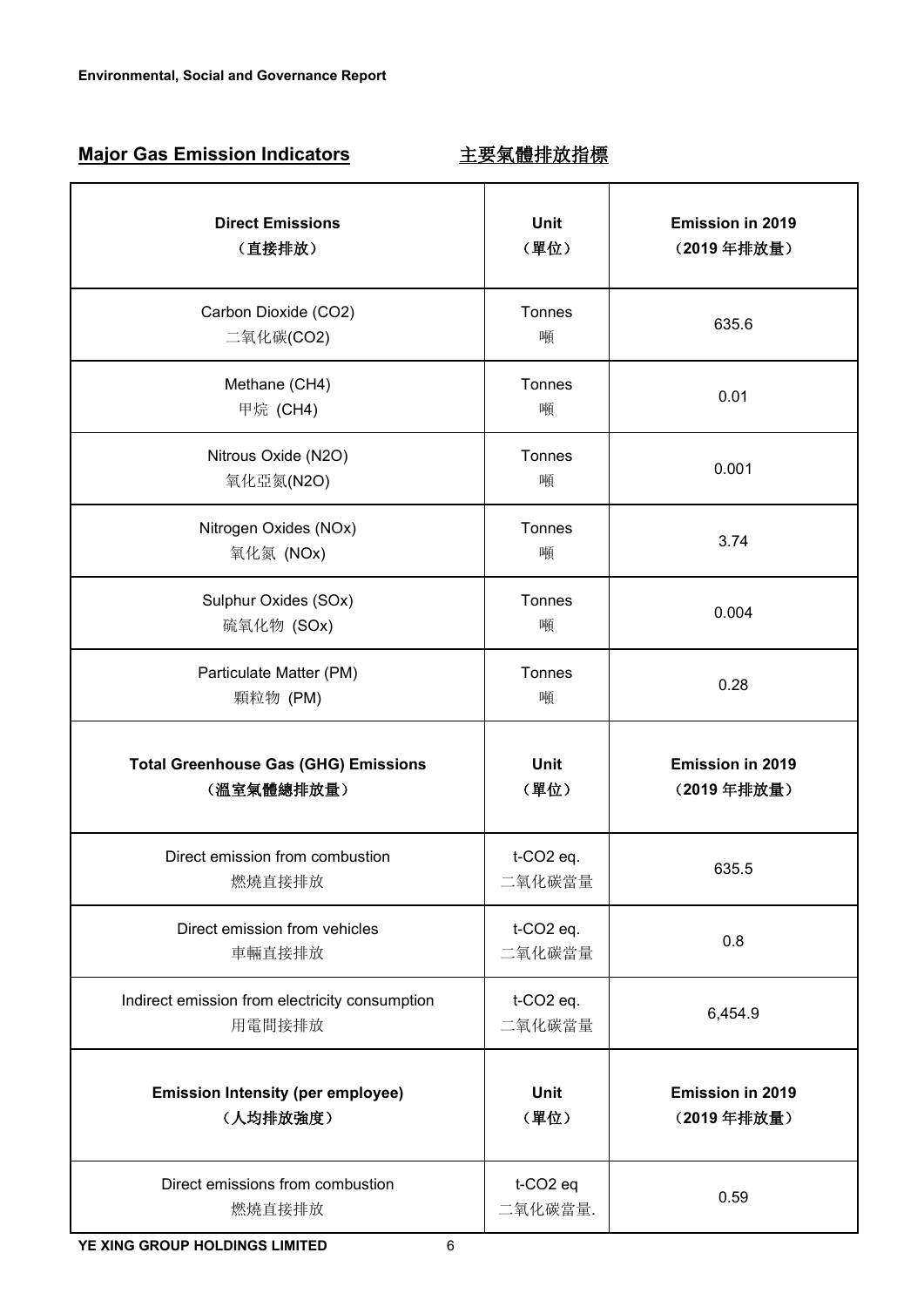# **Major Gas Emission Indicators** 主要氣體排放指標

| <b>Direct Emissions</b><br>(直接排放)                         | Unit<br>(單位)                    | Emission in 2019<br>(2019年排放量) |
|-----------------------------------------------------------|---------------------------------|--------------------------------|
| Carbon Dioxide (CO2)<br>二氧化碳(CO2)                         | Tonnes<br>噸                     | 635.6                          |
| Methane (CH4)<br>甲烷 (CH4)                                 | Tonnes<br>噸                     | 0.01                           |
| Nitrous Oxide (N2O)<br>氧化亞氮(N2O)                          | Tonnes<br>噸                     | 0.001                          |
| Nitrogen Oxides (NOx)<br>氧化氮 (NOx)                        | Tonnes<br>噸                     | 3.74                           |
| Sulphur Oxides (SOx)<br>硫氧化物 (SOx)                        | Tonnes<br>噸                     | 0.004                          |
| Particulate Matter (PM)<br>顆粒物 (PM)                       | Tonnes<br>噸                     | 0.28                           |
| <b>Total Greenhouse Gas (GHG) Emissions</b><br>(溫室氣體總排放量) | Unit<br>(單位)                    | Emission in 2019<br>(2019年排放量) |
| Direct emission from combustion<br>燃燒直接排放                 | t-CO2 eq.<br>二氧化碳當量             | 635.5                          |
| Direct emission from vehicles<br>車輛直接排放                   | t-CO2 eq.<br>二氧化碳當量             | 0.8                            |
| Indirect emission from electricity consumption<br>用電間接排放  | t-CO2 eq.<br>二氧化碳當量             | 6,454.9                        |
| <b>Emission Intensity (per employee)</b><br>(人均排放強度)      | Unit<br>(單位)                    | Emission in 2019<br>(2019年排放量) |
| Direct emissions from combustion<br>燃燒直接排放                | t-CO <sub>2</sub> eq<br>二氧化碳當量. | 0.59                           |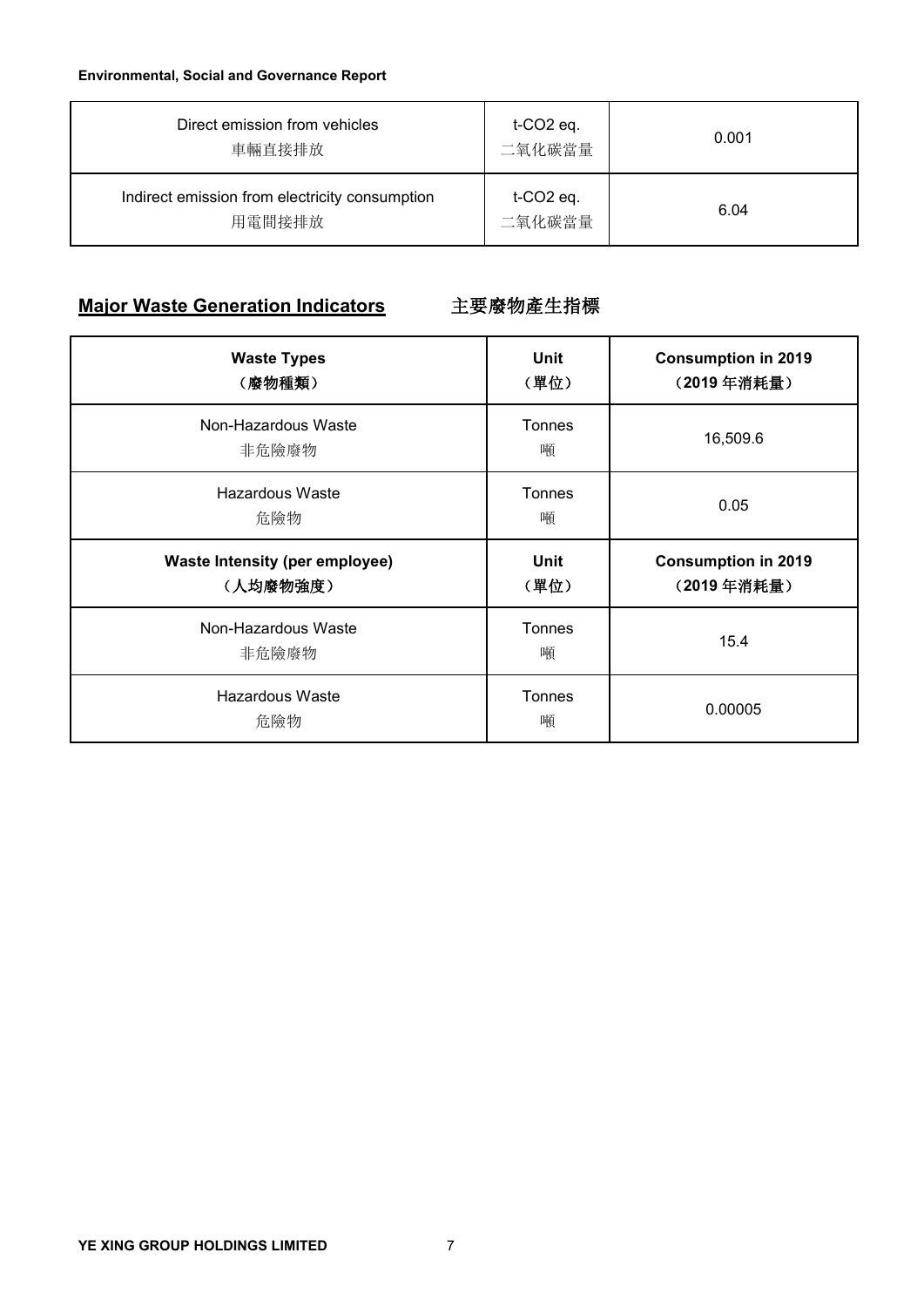| Direct emission from vehicles<br>車輛直接排放                  | $t$ -CO2 eq.<br>二氧化碳當量             | 0.001 |  |
|----------------------------------------------------------|------------------------------------|-------|--|
| Indirect emission from electricity consumption<br>用電間接排放 | $t$ -CO <sub>2</sub> eq.<br>二氧化碳當量 | 6.04  |  |

# **Major Waste Generation Indicators** 主要廢物產生指標

| <b>Waste Types</b><br>(廢物種類)                      | Unit<br>(單位) | <b>Consumption in 2019</b><br>(2019年消耗量) |
|---------------------------------------------------|--------------|------------------------------------------|
| Non-Hazardous Waste<br>非危險廢物                      | Tonnes<br>噸  | 16,509.6                                 |
| <b>Hazardous Waste</b><br>危險物                     | Tonnes<br>噸  | 0.05                                     |
| <b>Waste Intensity (per employee)</b><br>(人均廢物強度) | Unit<br>(單位) | <b>Consumption in 2019</b><br>(2019年消耗量) |
| Non-Hazardous Waste<br>非危險廢物                      | Tonnes<br>噸  | 15.4                                     |
| <b>Hazardous Waste</b><br>危險物                     | Tonnes<br>噸  | 0.00005                                  |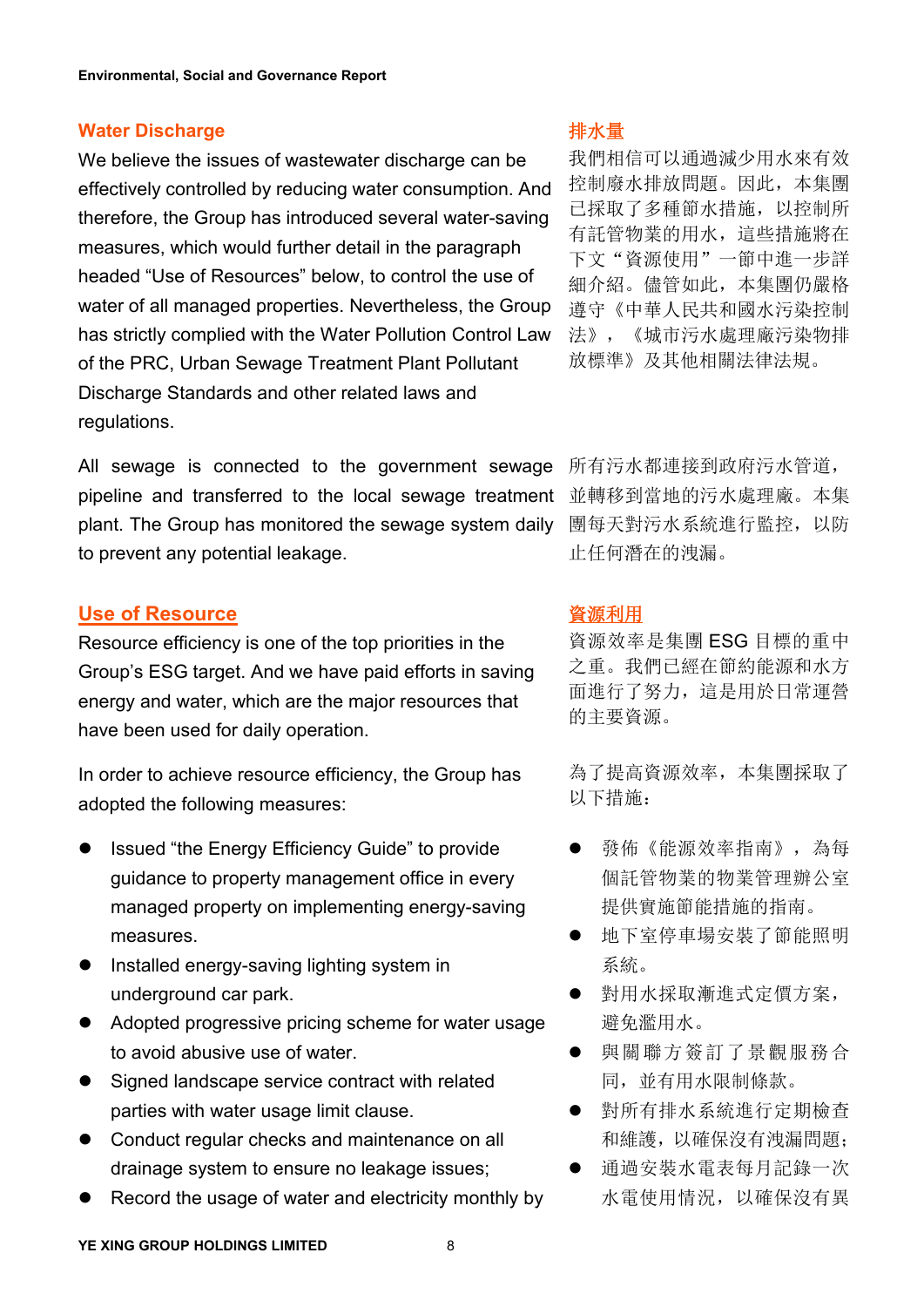## **Water Discharge**

We believe the issues of wastewater discharge can be effectively controlled by reducing water consumption. And therefore, the Group has introduced several water-saving measures, which would further detail in the paragraph headed "Use of Resources" below, to control the use of water of all managed properties. Nevertheless, the Group has strictly complied with the Water Pollution Control Law of the PRC, Urban Sewage Treatment Plant Pollutant Discharge Standards and other related laws and regulations.

All sewage is connected to the government sewage 所有污水都連接到政府污水管道, pipeline and transferred to the local sewage treatment 並轉移到當 plant. The Group has monitored the sewage system daily 團每天對污水系統進行監控,以防 All sewage is connected to the government sewage 所有污水都連接到政府污水管道,<br>pipeline and transferred to the local sewage treatment 並轉移到當地的污水處理廠。本集<br>plant. The Group has monitored the sewage system daily 團每天對污水系統進行監控,以防<br>to prevent any

# **Use of Resource**

Resource efficiency is one of the top priorities in the Group's ESG target. And we have paid efforts in saving energy and water, which are the major resources that **Use of Resource**<br>Resource efficiency is one of the top priorities in the 資源效率是集團 ESG 目標的重中<br>Group's ESG target. And we have paid efforts in saving 之重。我們已經在節約能源和水方<br>energy and water, which are the major resources tha

In order to achieve resource efficiency, the Group has adopted the following measures:

- Issued "the Energy Efficiency Guide" to provide guidance to property management office in every managed property on implementing energy-saving measures.
- Installed energy-saving lighting system in the transmit of which is a significant of the transmit of the trans underground car park.
- Adopted progressive pricing scheme for water usage to avoid abusive use of water.
- Signed landscape service contract with related parties with water usage limit clause.
- Conduct regular checks and maintenance on all drainage system to ensure no leakage issues;
- Record the usage of water and electricity monthly by

# 排水量

我們相信可以通過減少用水來有效 控制廢水排放問題。因此,本集團 已採取了多種節水措施,以控制所 有託管物業的用水,這些措施將在 下文"資源使用"一節中進一步詳 細介紹。儘管如此,本集團仍嚴格 遵守《中華人民共和國水污染控制 法》,《城市污水處理廠污染物排 放標準》及其他相關法律法規。

並轉移到當地的污水處理廠。本集 止任何潛在的洩漏。

資源效率是集團 ESG 目標的重中 之重。我們已經在節約能源和水方 面進行了努力,這是用於日常運營 的主要資源。

為了提高資源效率,本集團採取了 以下措施:

- 發佈《能源效率指南》,為每 個託管物業的物業管理辦公室 提供實施節能措施的指南。
- 地下室停車場安裝了節能照明 系統。
- 對用水採取漸進式定價方案, 避免濫用水。
- 與關聯方簽訂了景觀服務合 同, 並有用水限制條款。
- 對所有排水系統進行定期檢查 和維護,以確保沒有洩漏問題;
- 通過安裝水電表每月記錄一次 水電使用情況,以確保沒有異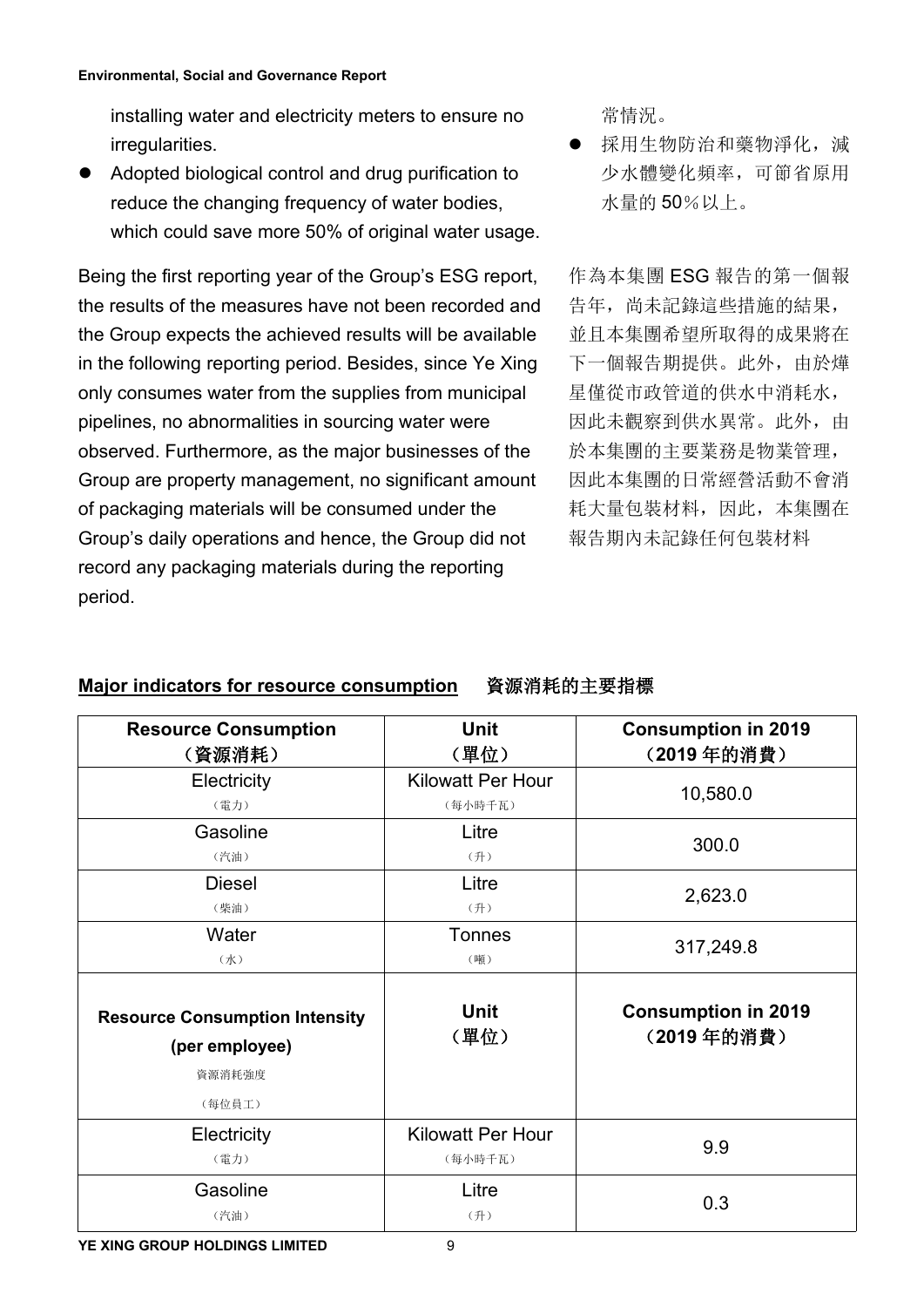installing water and electricity meters to ensure no <br>常情況。 irregularities.

 Adopted biological control and drug purification to reduce the changing frequency of water bodies, installing water and electricity meters to ensure no<br>
irregularities. ● 採用生物防治和藥物淨化,減<br>
Adopted biological control and drug purification to 少水體變化頻率,可節省原用<br>
reduce the changing frequency of water bodies, 水量的 50%以上。<br>

Being the first reporting year of the Group's ESG report, the results of the measures have not been recorded and the Group expects the achieved results will be available in the following reporting period. Besides, since Ye Xing only consumes water from the supplies from municipal pipelines, no abnormalities in sourcing water were observed. Furthermore, as the major businesses of the Group are property management, no significant amount of packaging materials will be consumed under the Group's daily operations and hence, the Group did not record any packaging materials during the reporting period.

 採用生物防治和藥物淨化,減 少水體變化頻率,可節省原用 水量的 50%以上。

作為本集團 ESG 報告的第一個報 告年,尚未記錄這些措施的結果, 並且本集團希望所取得的成果將在 下一個報告期提供。此外,由於燁 星僅從市政管道的供水中消耗水, 因此未觀察到供水異常。此外, 由 於本集團的主要業務是物業管理, 因此本集團的日常經營活動不會消 耗大量包裝材料,因此,本集團在 報告期內未記錄任何包裝材料

# **Major indicators for resource consumption** 資源消耗的主要指標

| <b>Resource Consumption</b><br>(資源消耗)                   | <b>Unit</b><br>(單位)                 | <b>Consumption in 2019</b><br>(2019年的消費) |
|---------------------------------------------------------|-------------------------------------|------------------------------------------|
| Electricity<br>(電力)                                     | <b>Kilowatt Per Hour</b><br>(每小時千瓦) | 10,580.0                                 |
| Gasoline<br>(汽油)                                        | Litre<br>(升)                        | 300.0                                    |
| <b>Diesel</b><br>(柴油)                                   | Litre<br>(升)                        | 2,623.0                                  |
| Water<br>$(\nparallel)$                                 | <b>Tonnes</b><br>(噸)                | 317,249.8                                |
| <b>Resource Consumption Intensity</b><br>(per employee) | <b>Unit</b><br>(單位)                 | <b>Consumption in 2019</b><br>(2019年的消費) |
| 資源消耗強度<br>(每位員工)                                        |                                     |                                          |
| Electricity<br>(電力)                                     | <b>Kilowatt Per Hour</b><br>(每小時千瓦) | 9.9                                      |
| Gasoline<br>(汽油)                                        | Litre<br>(升)                        | 0.3                                      |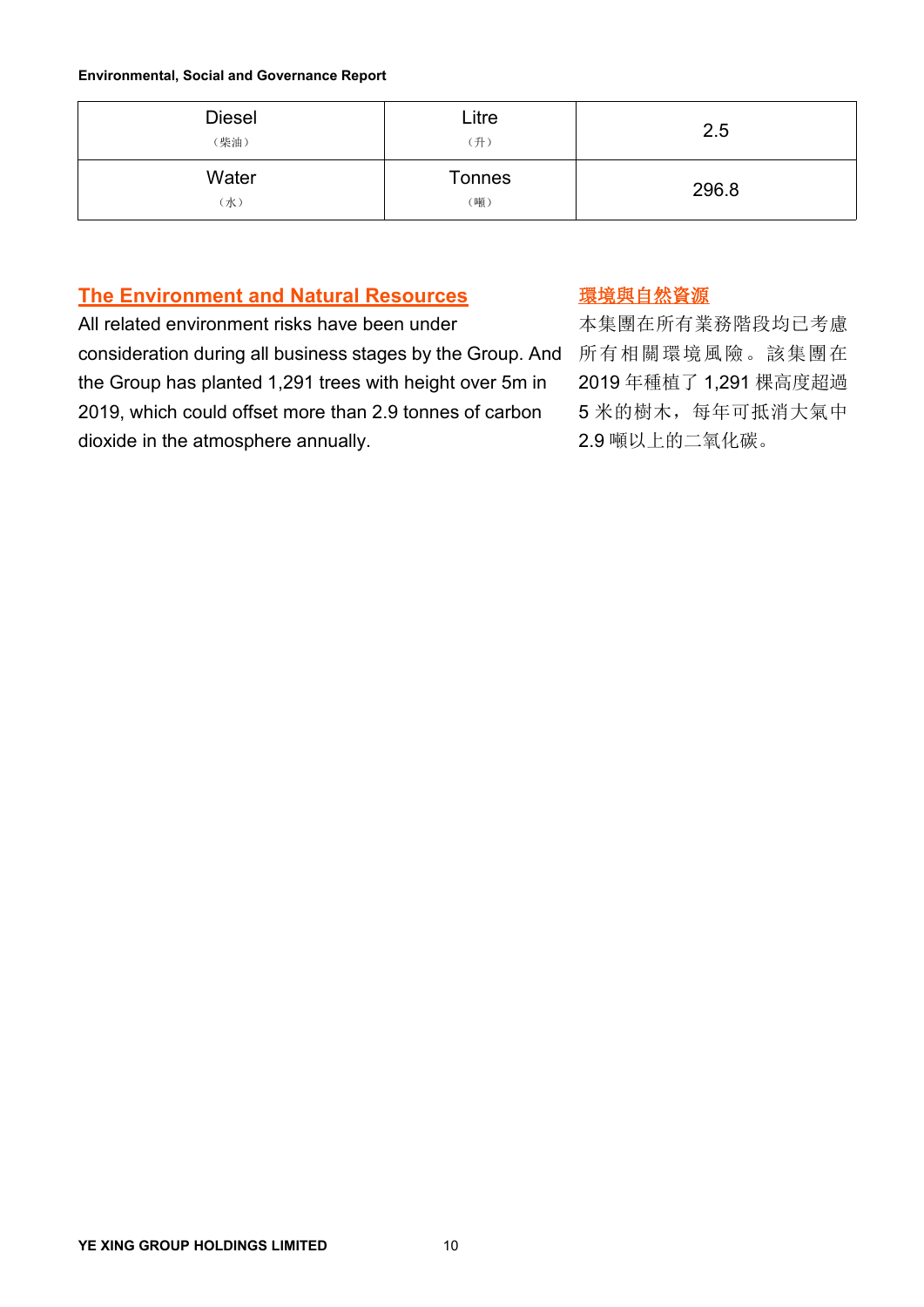| <b>Diesel</b><br>(柴油) | Litre<br>(升)         | 2.5   |
|-----------------------|----------------------|-------|
| Water<br>(水)          | <b>Tonnes</b><br>(噸) | 296.8 |

# **The Environment and Natural Resources**

All related environment risks have been under consideration during all business stages by the Group. And 所有相關環境風險。 the Group has planted 1,291 trees with height over 5m in 2019, which could offset more than 2.9 tonnes of carbon dioxide in the atmosphere annually. 環境與自然資源

本集團在所有業務階段均已考慮 所有相關環境風險。該集團在 2019 年種植了 1,291 棵高度超過 5 米的樹木,每年可抵消大氣中 2.9 噸以上的二氧化碳。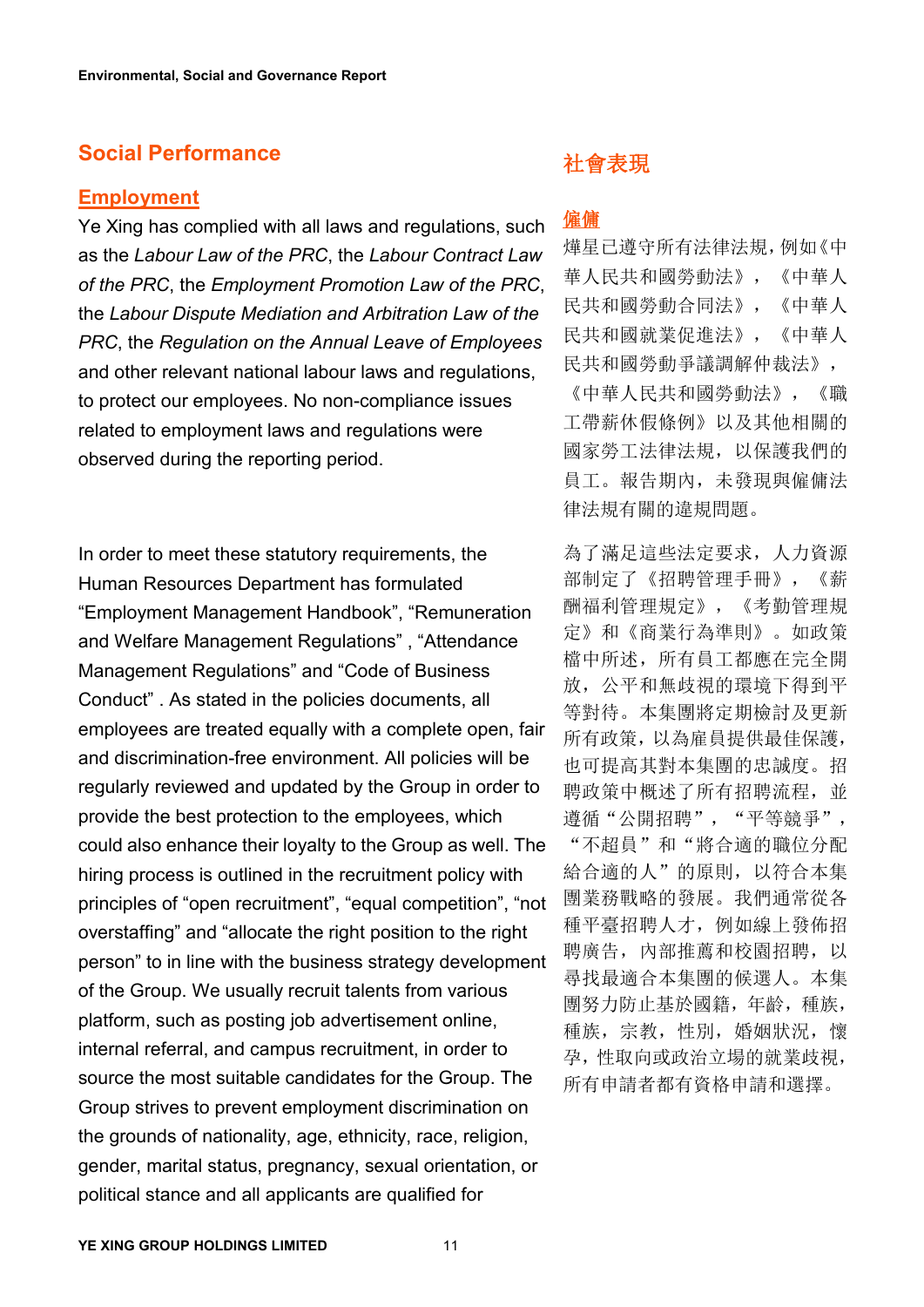# **Social Performance**

#### **Employment**

Ye Xing has complied with all laws and regulations, such  $\frac{4\pm\sqrt{m}}{2}$ as the *Labour Law of the PRC*, the *Labour Contract Law of the PRC*, the *Employment Promotion Law of the PRC*, the *Labour Dispute Mediation and Arbitration Law of the PRC*, the *Regulation on the Annual Leave of Employees* and other relevant national labour laws and regulations, to protect our employees. No non-compliance issues related to employment laws and regulations were observed during the reporting period.

In order to meet these statutory requirements, the Human Resources Department has formulated "Employment Management Handbook", "Remuneration and Welfare Management Regulations" , "Attendance Management Regulations" and "Code of Business Conduct" . As stated in the policies documents, all employees are treated equally with a complete open, fair and discrimination-free environment. All policies will be regularly reviewed and updated by the Group in order to provide the best protection to the employees, which could also enhance their loyalty to the Group as well. The hiring process is outlined in the recruitment policy with principles of "open recruitment", "equal competition", "not overstaffing" and "allocate the right position to the right person" to in line with the business strategy development of the Group. We usually recruit talents from various platform, such as posting job advertisement online, internal referral, and campus recruitment, in order to source the most suitable candidates for the Group. The Group strives to prevent employment discrimination on the grounds of nationality, age, ethnicity, race, religion, gender, marital status, pregnancy, sexual orientation, or political stance and all applicants are qualified for

# 社會表現

# 僱傭

燁星已遵守所有法律法規,例如《中 華人民共和國勞動法》,《中華人 民共和國勞動合同法》,《中華人 民共和國就業促進法》,《中華人 民共和國勞動爭議調解仲裁法》,

《中華人民共和國勞動法》,《職 工帶薪休假條例》以及其他相關的 國家勞工法律法規,以保護我們的 員工。報告期內,未發現與僱傭法 律法規有關的違規問題。

為了滿足這些法定要求,人力資源 部制定了《招聘管理手冊》,《薪 酬福利管理規定》,《考勤管理規 定》和《商業行為準則》。如政策 檔中所述,所有員工都應在完全開 放,公平和無歧視的環境下得到平 等對待。本集團將定期檢討及更新 所有政策,以為雇員提供最佳保護, 也可提高其對本集團的忠誠度。招 聘政策中概述了所有招聘流程, 並 遵循"公開招聘","平等競爭",

"不超員"和"將合適的職位分配 給合適的人"的原則,以符合本集 團業務戰略的發展。我們通常從各 種平臺招聘人才,例如線上發佈招 聘廣告,內部推薦和校園招聘,以 尋找最適合本集團的候選人。本集 團努力防止基於國籍,年齡,種族, 種族,宗教,性別,婚姻狀況,懷 孕,性取向或政治立場的就業歧視, 所有申請者都有資格申請和選擇。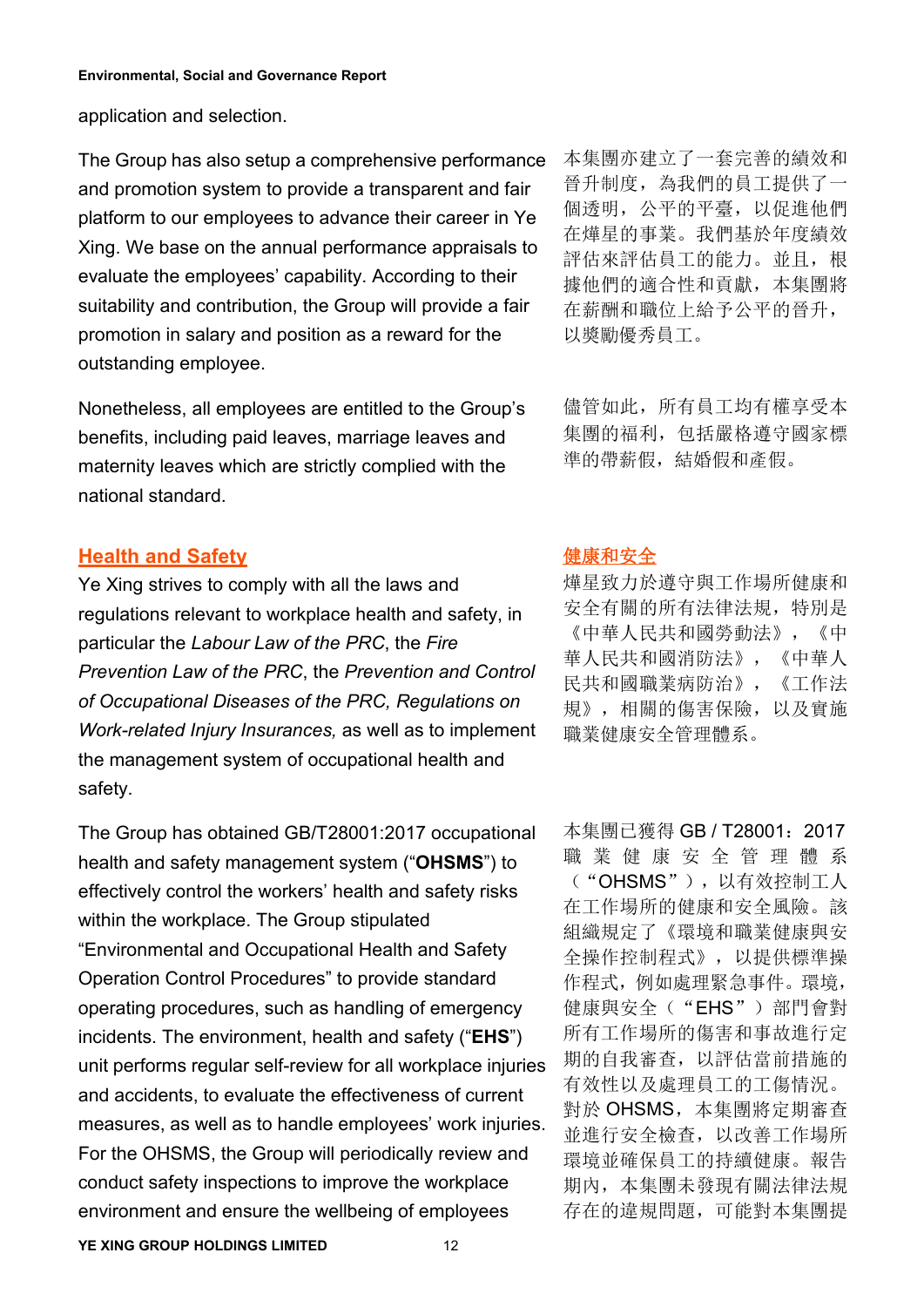application and selection.

The Group has also setup a comprehensive performance and promotion system to provide a transparent and fair platform to our employees to advance their career in Ye Xing. We base on the annual performance appraisals to evaluate the employees' capability. According to their suitability and contribution, the Group will provide a fair promotion in salary and position as a reward for the outstanding employee.

Nonetheless, all employees are entitled to the Group's benefits, including paid leaves, marriage leaves and maternity leaves which are strictly complied with the Nonetheless, all employees are entitled to the Group's 儘管如此,所有員工均有權享受本<br>benefits, including paid leaves, marriage leaves and 集團的福利,包括嚴格遵守國家標<br>maternity leaves which are strictly complied with the <sup>準</sup>的帶薪假,結婚假和產假。<br>natio

# **Health and Safety**

Ye Xing strives to comply with all the laws and regulations relevant to workplace health and safety, in particular the *Labour Law of the PRC*, the *Fire Prevention Law of the PRC*, the *Prevention and Control of Occupational Diseases of the PRC, Regulations on Work-related Injury Insurances,* as well as to implement the management system of occupational health and safety.

The Group has obtained GB/T28001:2017 occupational health and safety management system ("**OHSMS**") to effectively control the workers' health and safety risks within the workplace. The Group stipulated "Environmental and Occupational Health and Safety Operation Control Procedures" to provide standard operating procedures, such as handling of emergency incidents. The environment, health and safety ("**EHS**") unit performs regular self-review for all workplace injuries and accidents, to evaluate the effectiveness of current measures, as well as to handle employees' work injuries. For the OHSMS, the Group will periodically review and conduct safety inspections to improve the workplace environment and ensure the wellbeing of employees

本集團亦建立了一套完善的績效和 晉升制度,為我們的員工提供了一 個透明,公平的平臺,以促進他們 在燁星的事業。我們基於年度績效 評估來評估員工的能力。並且, 根 據他們的適合性和貢獻,本集團將 在薪酬和職位上給予公平的晉升, 以獎勵優秀員工。

集團的福利,包括嚴格遵守國家標 準的帶薪假,結婚假和產假。

## 健康和安全

燁星致力於遵守與工作場所健康和 安全有關的所有法律法規,特別是 《中華人民共和國勞動法》,《中 華人民共和國消防法》,《中華人 民共和國職業病防治》,《工作法 規》,相關的傷害保險,以及實施 職業健康安全管理體系。

本集團已獲得 GB / T28001: 2017 職 業 健 康 安 全 管 理 體 系 ("OHSMS"),以有效控制工人 在工作場所的健康和安全風險。該 組織規定了《環境和職業健康與安 全操作控制程式》,以提供標準操 作程式,例如處理緊急事件。環境, 健康與安全("EHS")部門會對 所有工作場所的傷害和事故進行定 期的自我審查,以評估當前措施的 有效性以及處理員工的工傷情況。 對於 OHSMS,本集團將定期審查 並進行安全檢查,以改善工作場所 環境並確保員工的持續健康。報告 期內,本集團未發現有關法律法規 存在的違規問題,可能對本集團提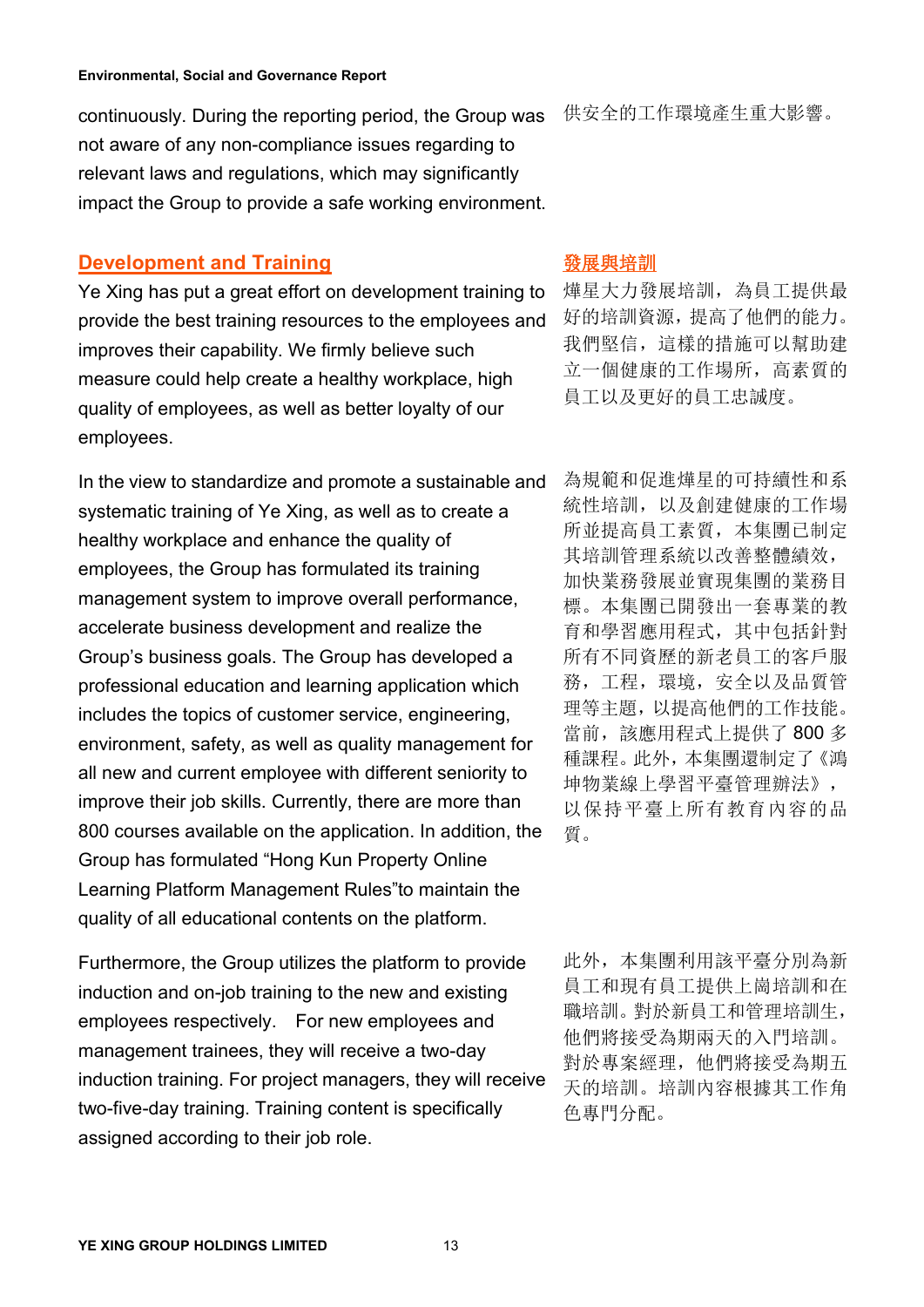continuously. During the reporting period, the Group was 供安全的工作環境產生重大影響。 not aware of any non-compliance issues regarding to relevant laws and regulations, which may significantly continuously. During the reporting period, the Group was 供安全的工作環境產生重大影響。<br>not aware of any non-compliance issues regarding to<br>relevant laws and regulations, which may significantly<br>impact the Group to provide a safe workin

# **Development and Training**

Ye Xing has put a great effort on development training to provide the best training resources to the employees and improves their capability. We firmly believe such measure could help create a healthy workplace, high quality of employees, as well as better loyalty of our **Development and Training sextypreshing the Server of Algerm**<br>Ye Xing has put a great effort on development training to <sub>燁星大力發展培訓,為員工提供最<br>provide the best training resources to the employees and 好的培訓資源,提高了他們的能力。<br>improves t</sub>

In the view to standardize and promote a sustainable and systematic training of Ye Xing, as well as to create a healthy workplace and enhance the quality of employees, the Group has formulated its training management system to improve overall performance, accelerate business development and realize the Group's business goals. The Group has developed a professional education and learning application which includes the topics of customer service, engineering, environment, safety, as well as quality management for all new and current employee with different seniority to improve their job skills. Currently, there are more than 800 courses available on the application. In addition, the  $\sigma$   $\frac{1}{g}$ . Group has formulated "Hong Kun Property Online Learning Platform Management Rules"to maintain the quality of all educational contents on the platform.

Furthermore, the Group utilizes the platform to provide <br>
<br/>
<br>
U.t. <br>
A.t. <br>  $\bar{\mathbb{A}}\#\mathbb{B}$  <br>
Alta <br/>E  $\hat{\mathbb{A}}\#\mathbb{B}$  <br>
Alta <br/>
S.i. <br>
I.t. <br>
I.t. <br>
I.t. <br>
I.t. <br>
I.t. <br>
I.t. <br>
I.t. <br>
I.t. <br>
I.t. <br>
I.t. <br>
I induction and on-job training to the new and existing employees respectively. For new employees and management trainees, they will receive a two-day induction training. For project managers, they will receive two-five-day training. Training content is specifically Furthermore, the Group utilizes the platform to provide<br>induction and on-job training to the new and existing enployees respectively. For new employees and<br>employees respectively. For new employees and<br>management trainees

燁星大力發展培訓,為員工提供最 好的培訓資源,提高了他們的能力。 我們堅信,這樣的措施可以幫助建 立一個健康的工作場所,高素質的 員工以及更好的員工忠誠度。

為規範和促進燁星的可持續性和系 統性培訓,以及創建健康的工作場 所並提高員工素質,本集團已制定 其培訓管理系統以改善整體績效, 加快業務發展並實現集團的業務目 標。本集團已開發出一套專業的教 育和學習應用程式,其中包括針對 所有不同資歷的新老員工的客戶服 務,工程,環境,安全以及品質管 理等主題,以提高他們的工作技能。 當前,該應用程式上提供了 800 多 種課程。此外,本集團還制定了《鴻 坤物業線上學習平臺管理辦法》, 以保持平臺上所有教育內容的品 質。

員工和現有員工提供上崗培訓和在 職培訓。對於新員工和管理培訓生, 他們將接受為期兩天的入門培訓。 對於專案經理,他們將接受為期五 天的培訓。培訓內容根據其工作角 色專門分配。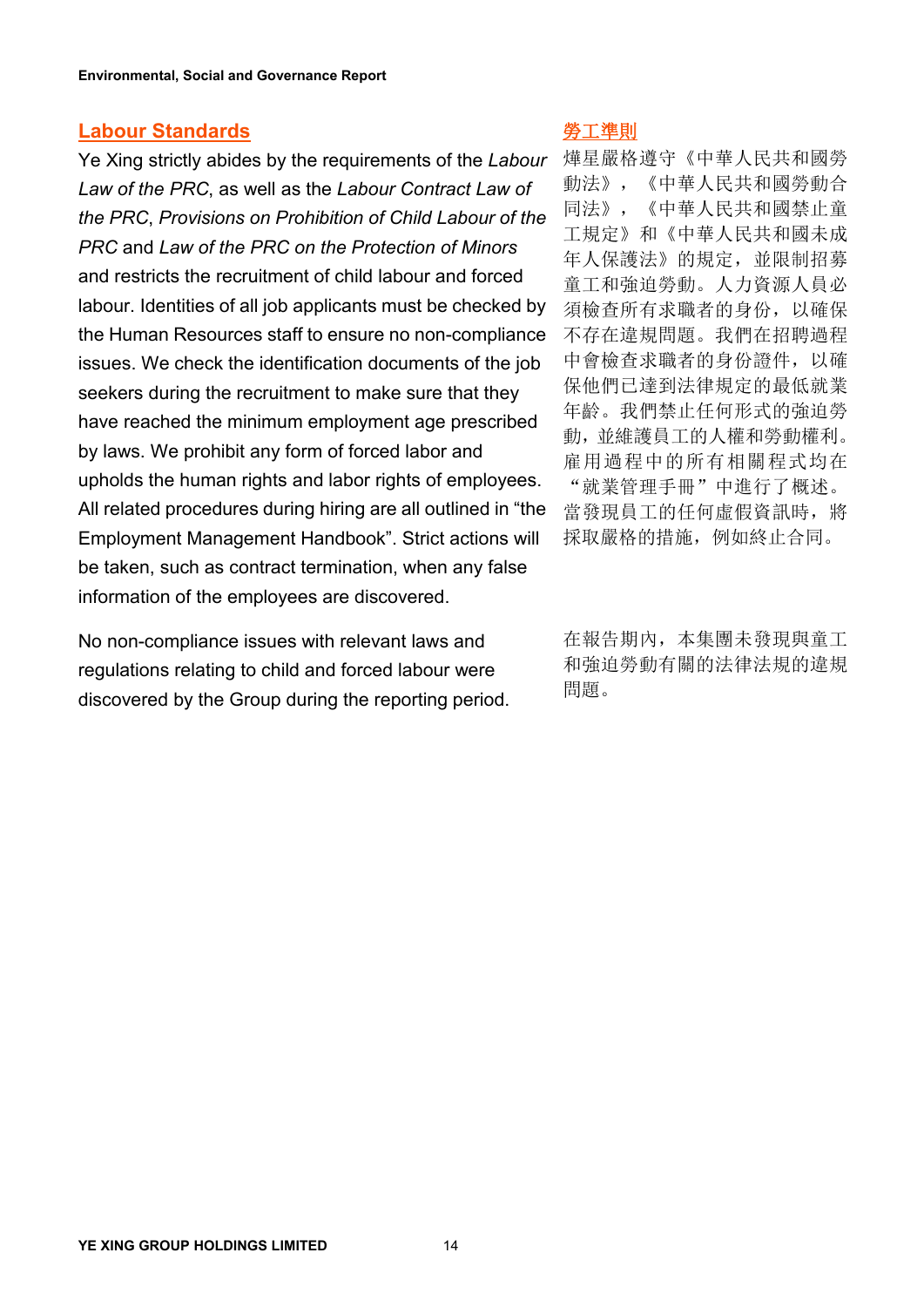#### **Labour Standards**

Ye Xing strictly abides by the requirements of the *Labour Law of the PRC*, as well as the *Labour Contract Law of the PRC*, *Provisions on Prohibition of Child Labour ofthe PRC* and *Law of the PRC on the Protection of Minors* and restricts the recruitment of child labour and forced labour. Identities of all job applicants must be checked by the Human Resources staff to ensure no non-compliance issues. We check the identification documents of the job seekers during the recruitment to make sure that they have reached the minimum employment age prescribed by laws. We prohibit any form of forced labor and upholds the human rights and labor rights of employees. All related procedures during hiring are all outlined in "the Employment Management Handbook". Strict actions will be taken, such as contract termination, when any false information of the employees are discovered.

No non-compliance issues with relevant laws and regulations relating to child and forced labour were discovered by the Group during the reporting period.

#### 勞工準則

燁星嚴格遵守《中華人民共和國勞 動法》,《中華人民共和國勞動合 同法》,《中華人民共和國禁止童 工規定》和《中華人民共和國未成 年人保護法》的規定,並限制招募 童工和強迫勞動。人力資源人員必 須檢查所有求職者的身份,以確保 不存在違規問題。我們在招聘過程 中會檢查求職者的身份證件,以確 保他們已達到法律規定的最低就業 年齡。我們禁止任何形式的強迫勞 動,並維護員工的人權和勞動權利。 雇用過程中的所有相關程式均在 "就業管理手冊"中進行了概述。 當發現員工的任何虛假資訊時, 將 採取嚴格的措施,例如終止合同。

和強迫勞動有關的法律法規的違規 問題。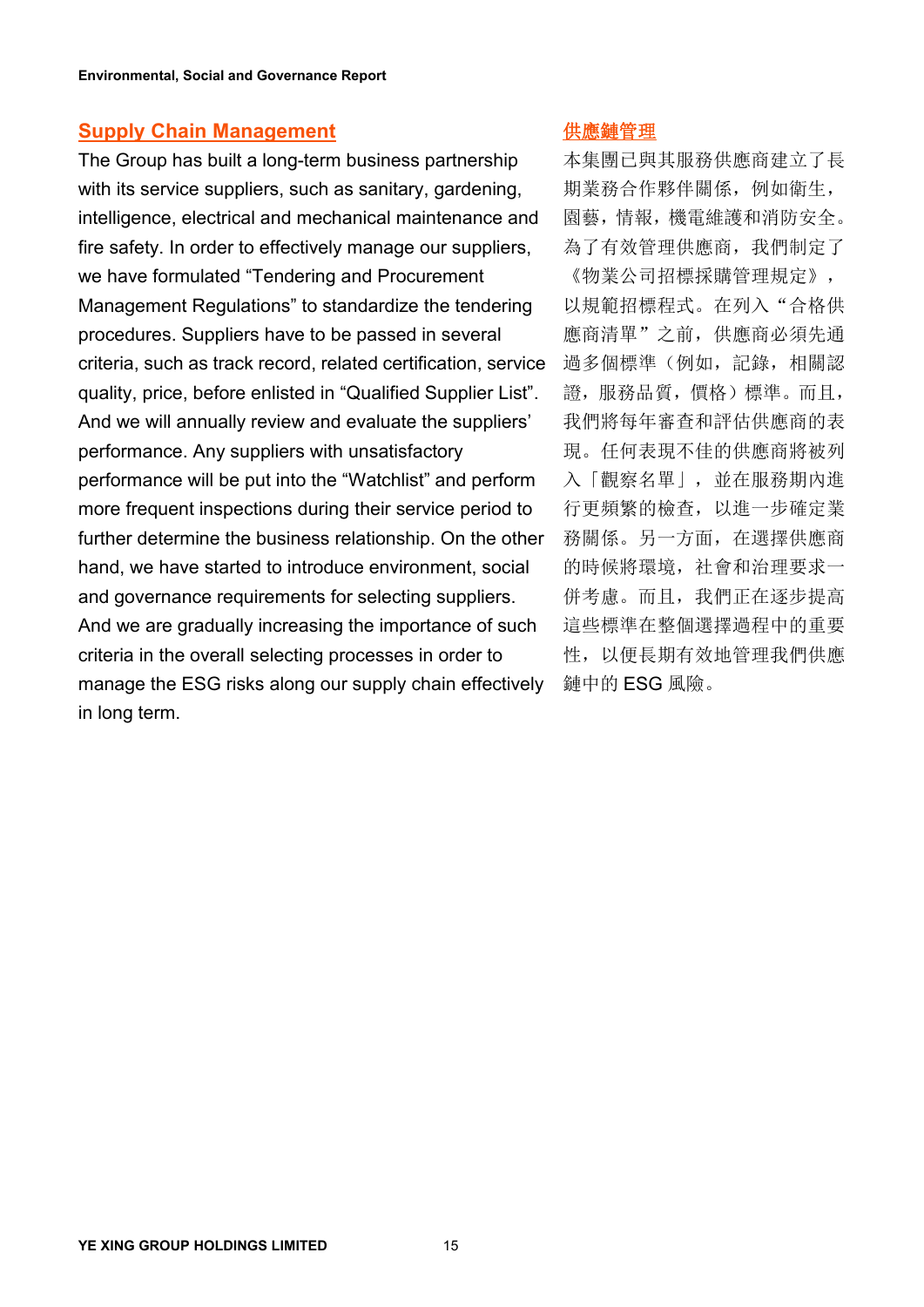#### **Supply Chain Management**

The Group has built a long-term business partnership with its service suppliers, such as sanitary, gardening, intelligence, electrical and mechanical maintenance and fire safety. In order to effectively manage our suppliers, we have formulated "Tendering and Procurement Management Regulations" to standardize the tendering procedures. Suppliers have to be passed in several criteria, such as track record, related certification, service quality, price, before enlisted in "Qualified Supplier List". And we will annually review and evaluate the suppliers' performance. Any suppliers with unsatisfactory performance will be put into the "Watchlist" and perform more frequent inspections during their service period to further determine the business relationship. On the other hand, we have started to introduce environment, social and governance requirements for selecting suppliers. And we are gradually increasing the importance of such criteria in the overall selecting processes in order to manage the ESG risks along our supply chain effectively in long term.

### 供應鏈管理

本集團已與其服務供應商建立了長 期業務合作夥伴關係,例如衛生, 園藝,情報,機電維護和消防安全。 為了有效管理供應商,我們制定了 《物業公司招標採購管理規定》, 以規範招標程式。在列入"合格供 應商清單"之前,供應商必須先通 過多個標準(例如,記錄,相關認 證,服務品質,價格)標準。而且,

我們將每年審查和評估供應商的表 現。任何表現不佳的供應商將被列 入「觀察名單」,並在服務期內進 行更頻繁的檢查,以進一步確定業 務關係。另一方面,在選擇供應商 的時候將環境,社會和治理要求一 併考慮。而且,我們正在逐步提高 這些標準在整個選擇過程中的重要 性,以便長期有效地管理我們供應 鏈中的 ESG 風險。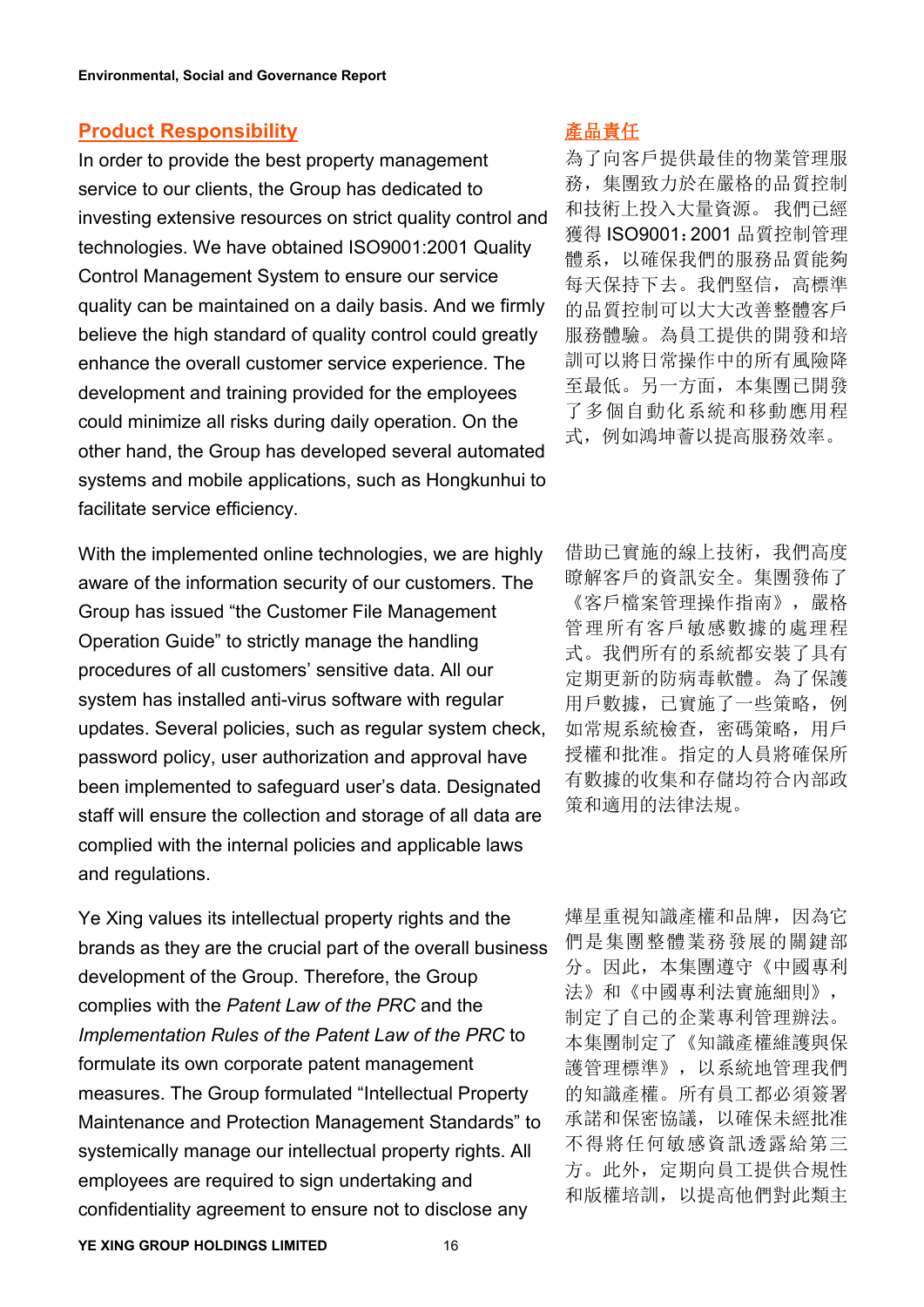#### **Product Responsibility**

In order to provide the best property management service to our clients, the Group has dedicated to investing extensive resources on strict quality control and technologies. We have obtained ISO9001:2001 Quality Control Management System to ensure our service quality can be maintained on a daily basis. And we firmly believe the high standard of quality control could greatly enhance the overall customer service experience. The development and training provided for the employees could minimize all risks during daily operation. On the other hand, the Group has developed several automated systems and mobile applications, such as Hongkunhui to facilitate service efficiency.

With the implemented online technologies, we are highly aware of the information security of our customers. The Group has issued "the Customer File Management Operation Guide" to strictly manage the handling procedures of all customers' sensitive data. All our system has installed anti-virus software with regular updates. Several policies, such as regular system check, password policy, user authorization and approval have been implemented to safeguard user's data. Designated staff will ensure the collection and storage of all data are complied with the internal policies and applicable laws and regulations.

Ye Xing values its intellectual property rights and the brands as they are the crucial part of the overall business development of the Group. Therefore, the Group complies with the *Patent Law of the PRC* and the *Implementation Rules of the Patent Law of the PRC* to formulate its own corporate patent management measures. The Group formulated "Intellectual Property Maintenance and Protection Management Standards" to systemically manage our intellectual property rights. All employees are required to sign undertaking and confidentiality agreement to ensure not to disclose any

## 產品責任

為了向客戶提供最佳的物業管理服 務,集團致力於在嚴格的品質控制 和技術上投入大量資源。 我們已經 獲得 ISO9001:2001 品質控制管理 體系,以確保我們的服務品質能夠 每天保持下去。我們堅信,高標準 的品質控制可以大大改善整體客戶 服務體驗。為員工提供的開發和培 訓可以將日常操作中的所有風險降 至最低。另一方面,本集團已開發 了多個自動化系統和移動應用程 式,例如鴻坤薈以提高服務效率。

借助已實施的線上技術,我們高度 瞭解客戶的資訊安全。集團發佈了 《客戶檔案管理操作指南》,嚴格 管理所有客戶敏感數據的處理程 式。我們所有的系統都安裝了具有 定期更新的防病毒軟體。為了保護 用戶數據,已實施了一些策略,例 如常規系統檢查,密碼策略,用戶 授權和批准。指定的人員將確保所 有數據的收集和存儲均符合內部政 策和適用的法律法規。

燁星重視知識產權和品牌,因為它 們是集團整體業務發展的關鍵部 分。因此,本集團遵守《中國專利 法》和《中國專利法實施細則》, 制定了自己的企業專利管理辦法。 本集團制定了《知識產權維護與保 護管理標準》,以系統地管理我們 的知識產權。所有員工都必須簽署 承諾和保密協議,以確保未經批准 不得將任何敏感資訊透露給第三 方。此外,定期向員工提供合規性 和版權培訓,以提高他們對此類主

**YE XING GROUP HOLDINGS LIMITED** 16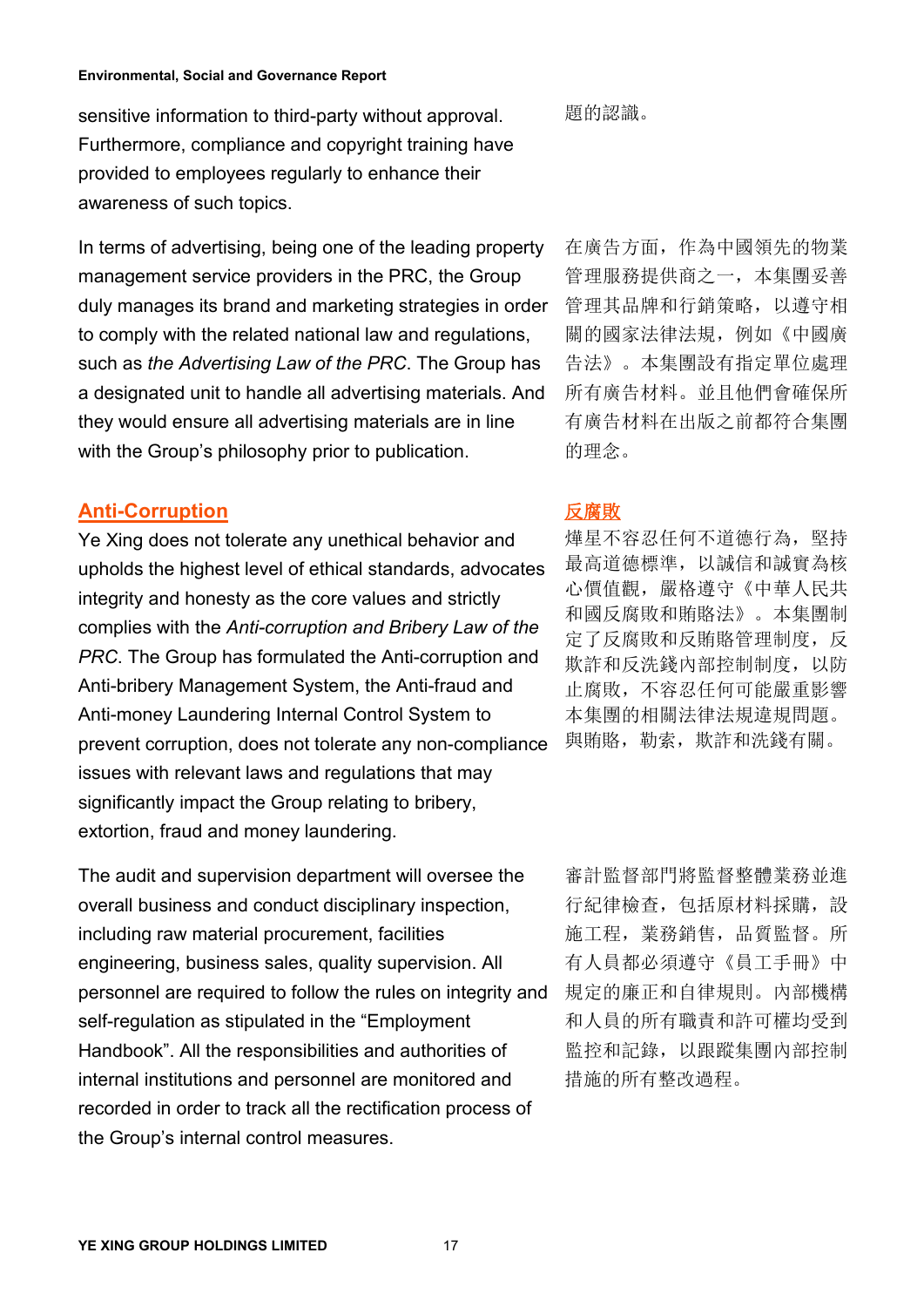sensitive information to third-party without approval.  **題的認識**。 Furthermore, compliance and copyright training have provided to employees regularly to enhance their sensitive information to third-party without approval. 題的認識。<br>Furthermore, compliance and copyright training have<br>provided to employees regularly to enhance their<br>awareness of such topics.

In terms of advertising, being one of the leading property management service providers in the PRC, the Group duly manages its brand and marketing strategies in order to comply with the related national law and regulations, such as *the Advertising Law of the PRC*. The Group has a designated unit to handle all advertising materials. And they would ensure all advertising materials are in line with the Group's philosophy prior to publication.

## **Anti-Corruption**

Ye Xing does not tolerate any unethical behavior and upholds the highest level of ethical standards, advocates integrity and honesty as the core values and strictly complies with the *Anti-corruption and Bribery Law of the PRC*. The Group has formulated the Anti-corruption and Anti-bribery Management System, the Anti-fraud and Anti-money Laundering Internal Control System to prevent corruption, does not tolerate any non-compliance issues with relevant laws and regulations that may significantly impact the Group relating to bribery, extortion, fraud and money laundering.

The audit and supervision department will oversee the overall business and conduct disciplinary inspection, including raw material procurement, facilities engineering, business sales, quality supervision. All personnel are required to follow the rules on integrity and self-regulation as stipulated in the "Employment Handbook". All the responsibilities and authorities of internal institutions and personnel are monitored and recorded in order to track all the rectification process of the Group's internal control measures.

在廣告方面,作為中國領先的物業 管理服務提供商之一,本集團妥善 管理其品牌和行銷策略,以遵守相 關的國家法律法規,例如《中國廣 告法》。本集團設有指定單位處理 所有廣告材料。並且他們會確保所 有廣告材料在出版之前都符合集團 的理念。

# 反腐敗

燁星不容忍任何不道德行為,堅持 最高道德標準,以誠信和誠實為核 心價值觀, 嚴格遵守《中華人民共 和國反腐敗和賄賂法》。本集團制 定了反腐敗和反賄賂管理制度,反 欺詐和反洗錢內部控制制度,以防 止腐敗,不容忍任何可能嚴重影響 本集團的相關法律法規違規問題。 與賄賂, 勒索, 欺詐和洗錢有關。

審計監督部門將監督整體業務並進 行紀律檢查,包括原材料採購,設 施工程,業務銷售,品質監督。所 有人員都必須遵守《員工手冊》中 規定的廉正和自律規則。內部機構 和人員的所有職責和許可權均受到 監控和記錄,以跟蹤集團內部控制 措施的所有整改過程。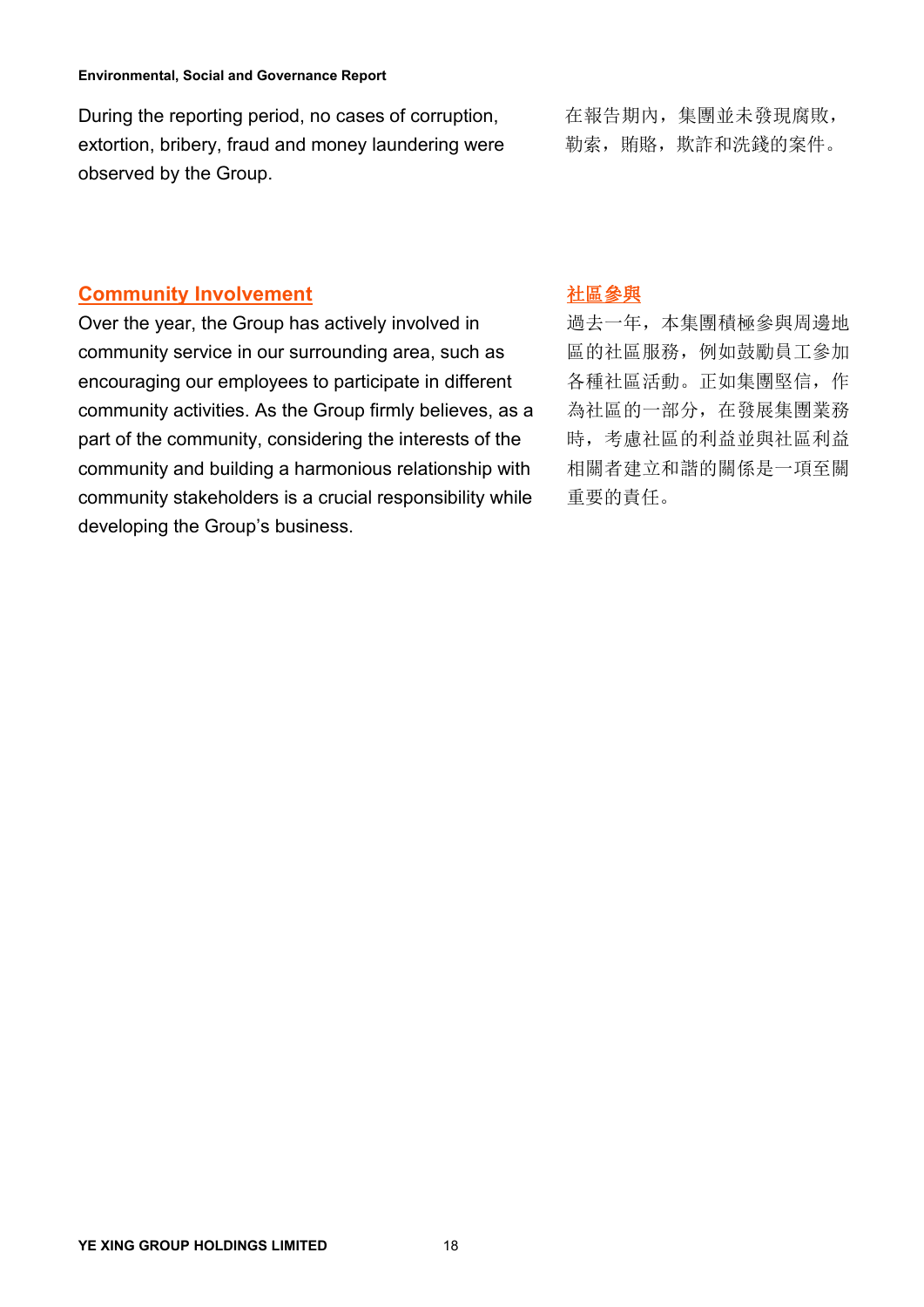During the reporting period, no cases of corruption, <br> **Example 10**, 集團並未發現腐敗, extortion, bribery, fraud and money laundering were 勒索,賄賂,欺 During the reporting period, no cases of corruption, 在報告期內,集團並未發現腐敗,<br>extortion, bribery, fraud and money laundering were 勒索,賄賂,欺詐和洗錢的案件。<br>observed by the Group.

勒索, 賄賂, 欺詐和洗錢的案件。

# **Community Involvement**

Over the year, the Group has actively involved in community service in our surrounding area, such as encouraging our employees to participate in different community activities. As the Group firmly believes, as a part of the community, considering the interests of the community and building a harmonious relationship with community stakeholders is a crucial responsibility while developing the Group's business.

# 社區參與

過去一年,本集團積極參與周邊地 區的社區服務,例如鼓勵員工參加 各種社區活動。正如集團堅信,作 為社區的一部分,在發展集團業務 時,考慮社區的利益並與社區利益 相關者建立和諧的關係是一項至關 重要的責任。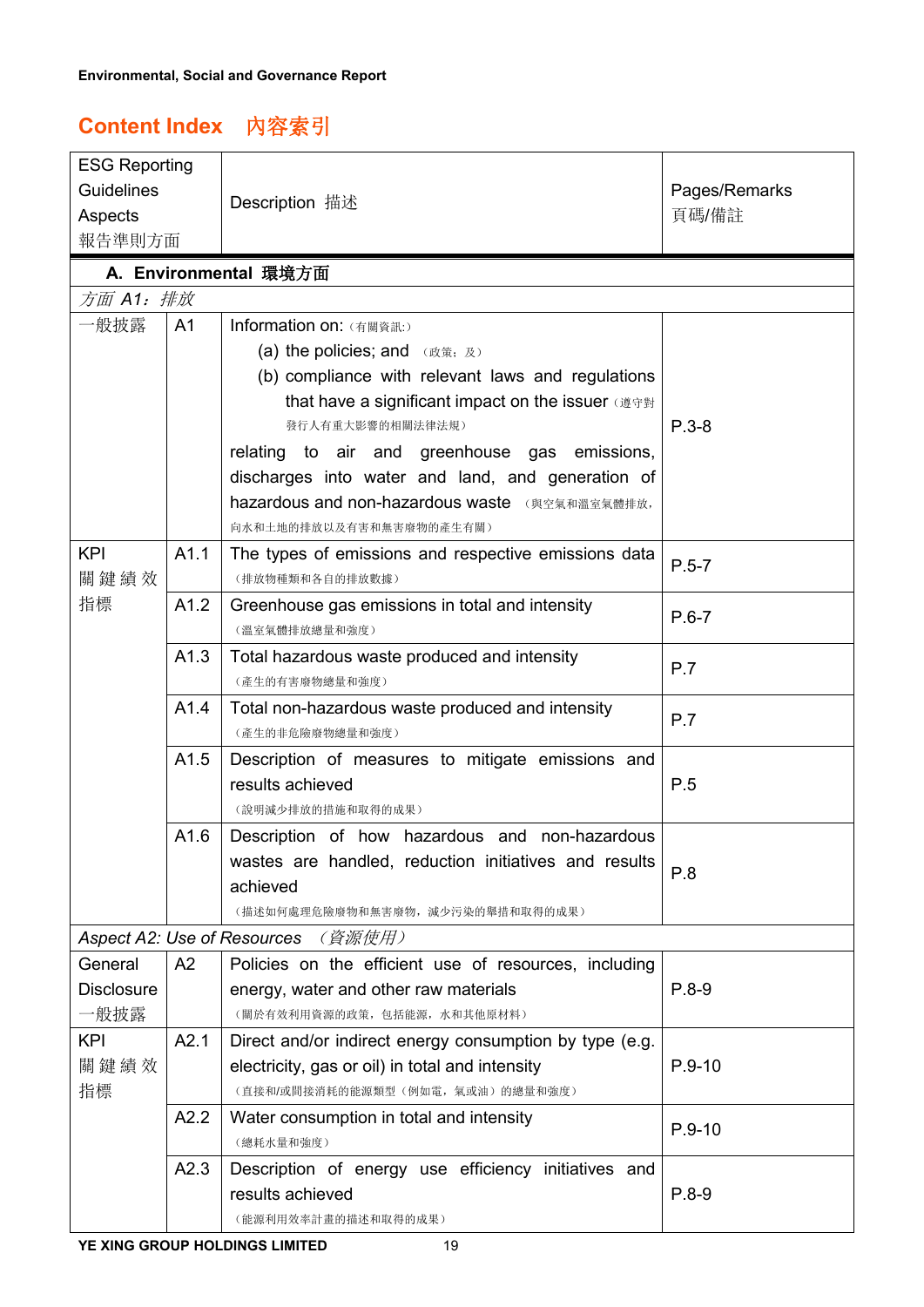# **Content Index** 內容索引

| <b>ESG Reporting</b> |      |                                                                                                    |               |
|----------------------|------|----------------------------------------------------------------------------------------------------|---------------|
| <b>Guidelines</b>    |      | Description 描述                                                                                     | Pages/Remarks |
| Aspects              |      |                                                                                                    | 頁碼/備註         |
| 報告準則方面               |      |                                                                                                    |               |
|                      |      | A. Environmental 環境方面                                                                              |               |
| 方面 A1: 排放            |      |                                                                                                    |               |
| 一般披露                 | A1   | Information on: (有關資訊:)                                                                            |               |
|                      |      | (a) the policies; and (政策; 及)                                                                      |               |
|                      |      | (b) compliance with relevant laws and regulations                                                  |               |
|                      |      | that have a significant impact on the issuer (遵守對                                                  |               |
|                      |      | 發行人有重大影響的相關法律法規)                                                                                   | $P.3-8$       |
|                      |      | relating to air and greenhouse gas emissions,<br>discharges into water and land, and generation of |               |
|                      |      | hazardous and non-hazardous waste (與空氣和溫室氣體排放,                                                     |               |
|                      |      | 向水和土地的排放以及有害和無害廢物的產生有關)                                                                            |               |
| <b>KPI</b>           | A1.1 | The types of emissions and respective emissions data                                               |               |
| 關鍵績效                 |      | (排放物種類和各自的排放數據)                                                                                    | $P.5 - 7$     |
| 指標                   | A1.2 | Greenhouse gas emissions in total and intensity                                                    | $P.6 - 7$     |
|                      |      | (溫室氣體排放總量和強度)                                                                                      |               |
|                      | A1.3 | Total hazardous waste produced and intensity                                                       | P.7           |
|                      |      | (產生的有害廢物總量和強度)                                                                                     |               |
|                      | A1.4 | Total non-hazardous waste produced and intensity<br>(產生的非危險廢物總量和強度)                                | P.7           |
|                      | A1.5 | Description of measures to mitigate emissions and                                                  |               |
|                      |      | results achieved                                                                                   | P.5           |
|                      |      | (說明減少排放的措施和取得的成果)                                                                                  |               |
|                      | A1.6 | Description of how hazardous and non-hazardous                                                     |               |
|                      |      | wastes are handled, reduction initiatives and results                                              | P.8           |
|                      |      | achieved                                                                                           |               |
|                      |      | (描述如何處理危險廢物和無害廢物,減少污染的舉措和取得的成果)                                                                    |               |
|                      |      | <b>Aspect A2: Use of Resources</b> (資源使用)                                                          |               |
| General              | A2   | Policies on the efficient use of resources, including                                              |               |
| <b>Disclosure</b>    |      | energy, water and other raw materials                                                              | $P.8-9$       |
| 一般披露                 |      | (關於有效利用資源的政策,包括能源,水和其他原材料)                                                                         |               |
| <b>KPI</b>           | A2.1 | Direct and/or indirect energy consumption by type (e.g.                                            |               |
| 關鍵績效<br>指標           |      | electricity, gas or oil) in total and intensity<br>(直接和/或間接消耗的能源類型(例如電,氣或油)的總量和強度)                 | $P.9 - 10$    |
|                      | A2.2 | Water consumption in total and intensity                                                           |               |
|                      |      | (總耗水量和強度)                                                                                          | $P.9 - 10$    |
|                      | A2.3 | Description of energy use efficiency initiatives and                                               |               |
|                      |      | results achieved                                                                                   | $P.8-9$       |
|                      |      | (能源利用效率計畫的描述和取得的成果)                                                                                |               |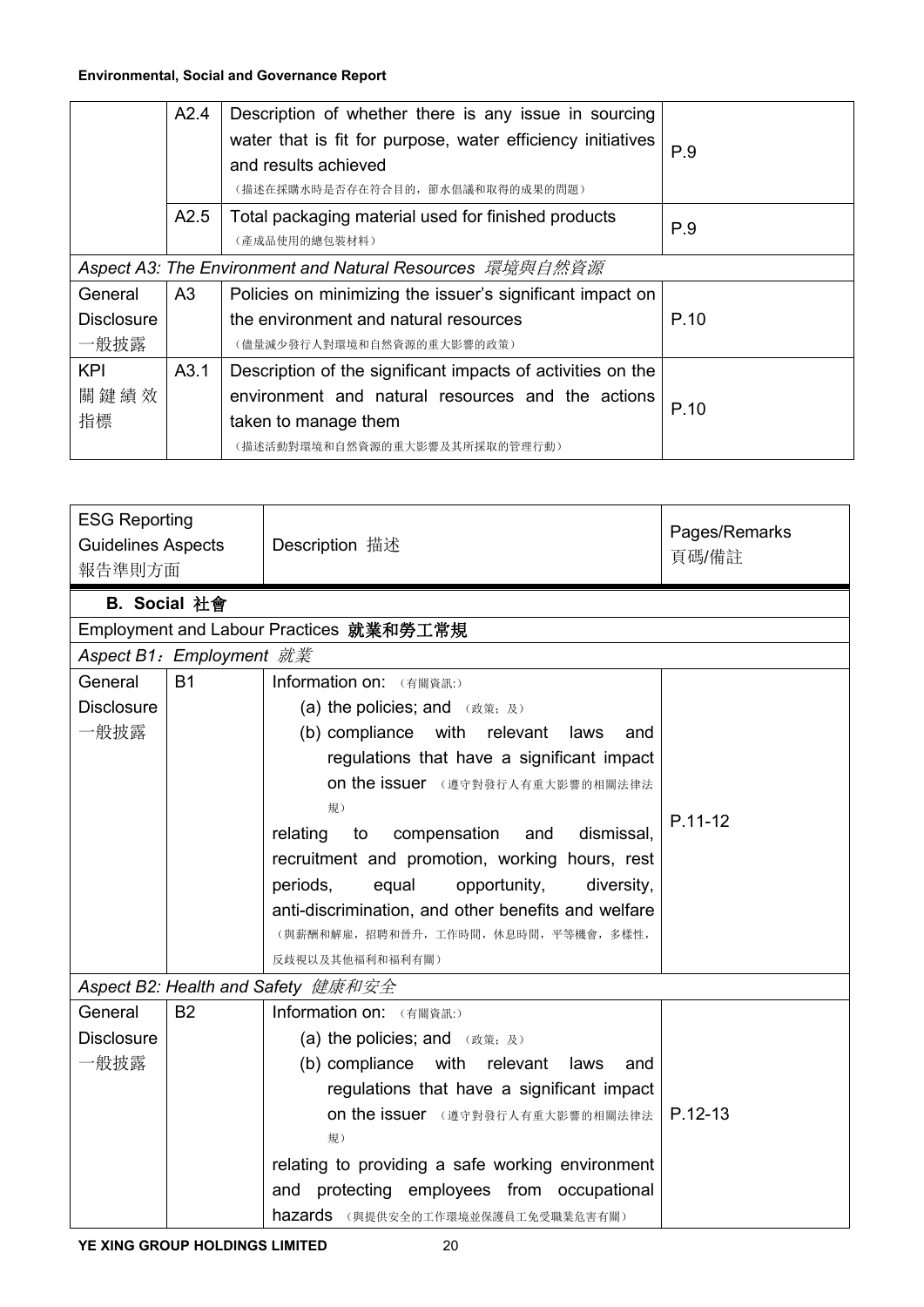|                   | A2.4           | Description of whether there is any issue in sourcing<br>water that is fit for purpose, water efficiency initiatives<br>and results achieved<br>(描述在採購水時是否存在符合目的, 節水倡議和取得的成果的問題) | P.9  |
|-------------------|----------------|----------------------------------------------------------------------------------------------------------------------------------------------------------------------------------|------|
|                   | A2.5           | Total packaging material used for finished products<br>(產成品使用的總包裝材料)                                                                                                             | P.9  |
|                   |                | Aspect A3: The Environment and Natural Resources 環境與自然資源                                                                                                                         |      |
| General           | A <sub>3</sub> | Policies on minimizing the issuer's significant impact on                                                                                                                        |      |
| <b>Disclosure</b> |                | the environment and natural resources                                                                                                                                            | P.10 |
| 一般披露              |                | (儘量減少發行人對環境和自然資源的重大影響的政策)                                                                                                                                                        |      |
| <b>KPI</b>        | A3.1           | Description of the significant impacts of activities on the                                                                                                                      |      |
| 關鍵績效              |                | environment and natural resources and the actions                                                                                                                                | P.10 |
| 指標                |                | taken to manage them                                                                                                                                                             |      |
|                   |                | (描述活動對環境和自然資源的重大影響及其所採取的管理行動)                                                                                                                                                    |      |

| <b>ESG Reporting</b><br><b>Guidelines Aspects</b><br>報告準則方面 |                          | Description 描述                                      | Pages/Remarks<br>頁碼/備註 |
|-------------------------------------------------------------|--------------------------|-----------------------------------------------------|------------------------|
|                                                             | B. Social 社會             |                                                     |                        |
|                                                             |                          | Employment and Labour Practices 就業和勞工常規             |                        |
|                                                             | Aspect B1: Employment 就業 |                                                     |                        |
| General                                                     | <b>B1</b>                | Information on: (有關資訊:)                             |                        |
| <b>Disclosure</b>                                           |                          | (a) the policies; and (政策; 及)                       |                        |
| 一般披露                                                        |                          | (b) compliance with relevant<br>laws<br>and         |                        |
|                                                             |                          | regulations that have a significant impact          |                        |
|                                                             |                          | <b>on the issuer</b> (遵守對發行人有重大影響的相關法律法             |                        |
|                                                             |                          | 規)                                                  |                        |
|                                                             |                          | compensation<br>dismissal.<br>relating<br>to<br>and | $P.11-12$              |
|                                                             |                          | recruitment and promotion, working hours, rest      |                        |
|                                                             |                          | equal<br>opportunity,<br>periods,<br>diversity,     |                        |
|                                                             |                          | anti-discrimination, and other benefits and welfare |                        |
|                                                             |                          | (與薪酬和解雇,招聘和晉升,工作時間,休息時間,平等機會,多樣性,                   |                        |
|                                                             |                          | 反歧視以及其他福利和福利有關)                                     |                        |
|                                                             |                          | Aspect B2: Health and Safety 健康和安全                  |                        |
| General                                                     | <b>B2</b>                | Information on: (有關資訊:)                             |                        |
| <b>Disclosure</b>                                           |                          | (a) the policies; and (政策; 及)                       |                        |
| 一般披露                                                        |                          | (b) compliance with relevant laws<br>and            |                        |
|                                                             |                          | regulations that have a significant impact          |                        |
|                                                             |                          | On the issuer (遵守對發行人有重大影響的相關法律法                    | $P.12-13$              |
|                                                             |                          | 規)                                                  |                        |
|                                                             |                          | relating to providing a safe working environment    |                        |
|                                                             |                          | and protecting employees from occupational          |                        |
|                                                             |                          | hazards (與提供安全的工作環境並保護員工免受職業危害有關)                   |                        |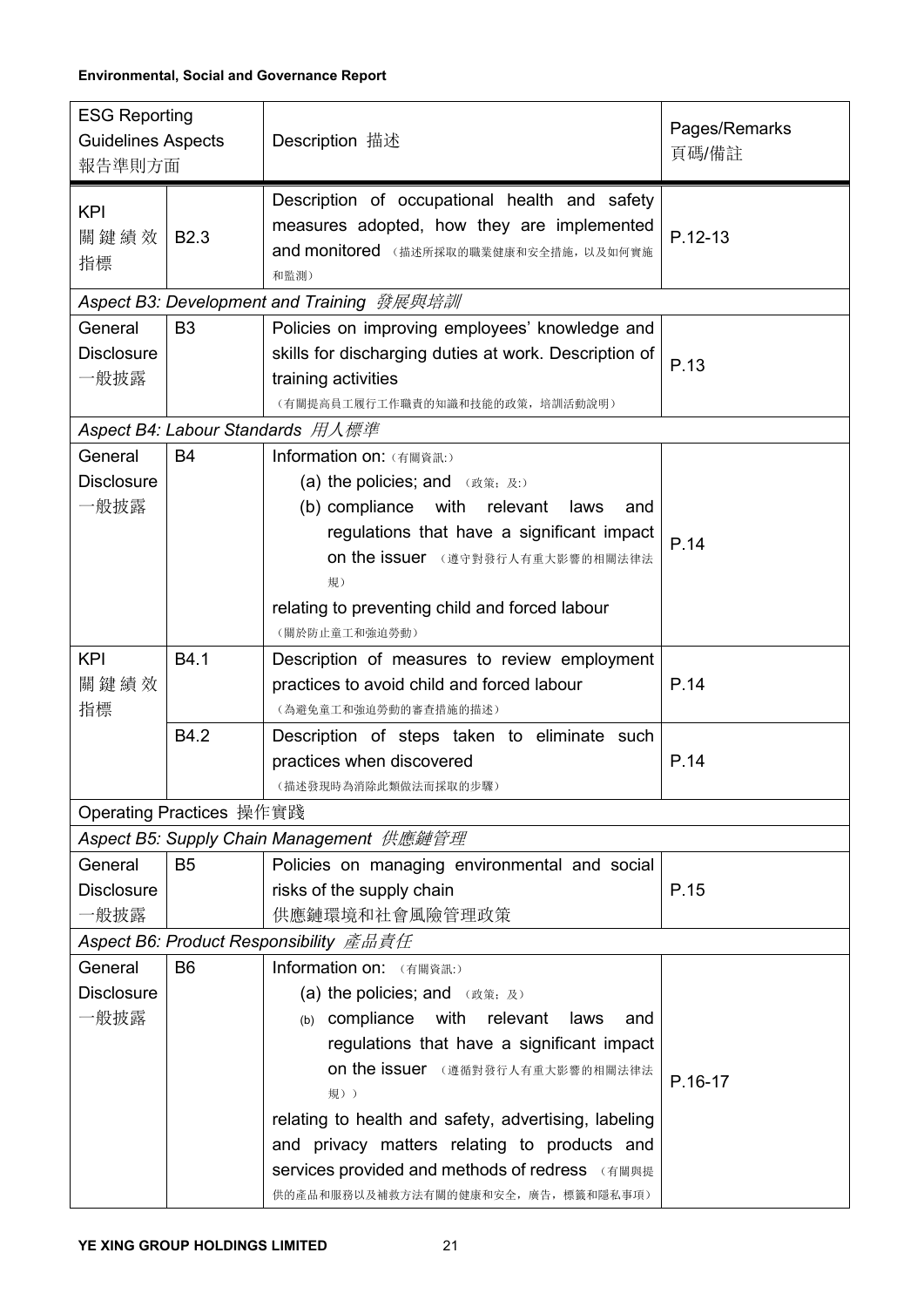| <b>ESG Reporting</b><br><b>Guidelines Aspects</b>      | Description 描述                                                                                                                                                                                                                                                                                                                                                                               | Pages/Remarks |
|--------------------------------------------------------|----------------------------------------------------------------------------------------------------------------------------------------------------------------------------------------------------------------------------------------------------------------------------------------------------------------------------------------------------------------------------------------------|---------------|
| 報告準則方面                                                 |                                                                                                                                                                                                                                                                                                                                                                                              | 頁碼/備註         |
| <b>KPI</b><br>關鍵績效<br><b>B2.3</b><br>指標                | Description of occupational health and safety<br>measures adopted, how they are implemented<br>and monitored (描述所採取的職業健康和安全措施,以及如何實施<br>和監測)                                                                                                                                                                                                                                                 | $P.12-13$     |
|                                                        | Aspect B3: Development and Training 發展與培訓                                                                                                                                                                                                                                                                                                                                                    |               |
| General<br>B <sub>3</sub><br><b>Disclosure</b><br>一般披露 | Policies on improving employees' knowledge and<br>skills for discharging duties at work. Description of<br>training activities<br>(有關提高員工履行工作職責的知識和技能的政策,培訓活動說明)                                                                                                                                                                                                                             | P.13          |
|                                                        | Aspect B4: Labour Standards 用人標準                                                                                                                                                                                                                                                                                                                                                             |               |
| General<br><b>B4</b><br><b>Disclosure</b><br>一般披露      | Information on: (有關資訊:)<br>(a) the policies; and (政策; 及:)<br>(b) compliance with relevant laws<br>and<br>regulations that have a significant impact<br>on the issuer (遵守對發行人有重大影響的相關法律法<br>規)<br>relating to preventing child and forced labour<br>(關於防止童工和強迫勞動)                                                                                                                             | P.14          |
| <b>KPI</b><br>B4.1<br>關鍵績效<br>指標                       | Description of measures to review employment<br>practices to avoid child and forced labour<br>(為避免童工和強迫勞動的審查措施的描述)                                                                                                                                                                                                                                                                           | P.14          |
| B4.2                                                   | Description of steps taken to eliminate such<br>practices when discovered<br>(描述發現時為消除此類做法而採取的步驟)                                                                                                                                                                                                                                                                                            | P.14          |
| Operating Practices 操作實踐                               |                                                                                                                                                                                                                                                                                                                                                                                              |               |
|                                                        | Aspect B5: Supply Chain Management 供應鏈管理                                                                                                                                                                                                                                                                                                                                                     |               |
| General<br><b>B5</b><br><b>Disclosure</b><br>一般披露      | Policies on managing environmental and social<br>risks of the supply chain<br>供應鏈環境和社會風險管理政策                                                                                                                                                                                                                                                                                                 | P.15          |
|                                                        | Aspect B6: Product Responsibility 產品責任                                                                                                                                                                                                                                                                                                                                                       |               |
| B <sub>6</sub><br>General<br><b>Disclosure</b><br>一般披露 | Information on: (有關資訊:)<br>(a) the policies; and (政策; 及)<br>(b) compliance with relevant laws<br>and<br>regulations that have a significant impact<br>on the issuer (遵循對發行人有重大影響的相關法律法<br>規))<br>relating to health and safety, advertising, labeling<br>and privacy matters relating to products and<br>services provided and methods of redress (有關與提<br>供的產品和服務以及補救方法有關的健康和安全,廣告,標籤和隱私事項) | P.16-17       |